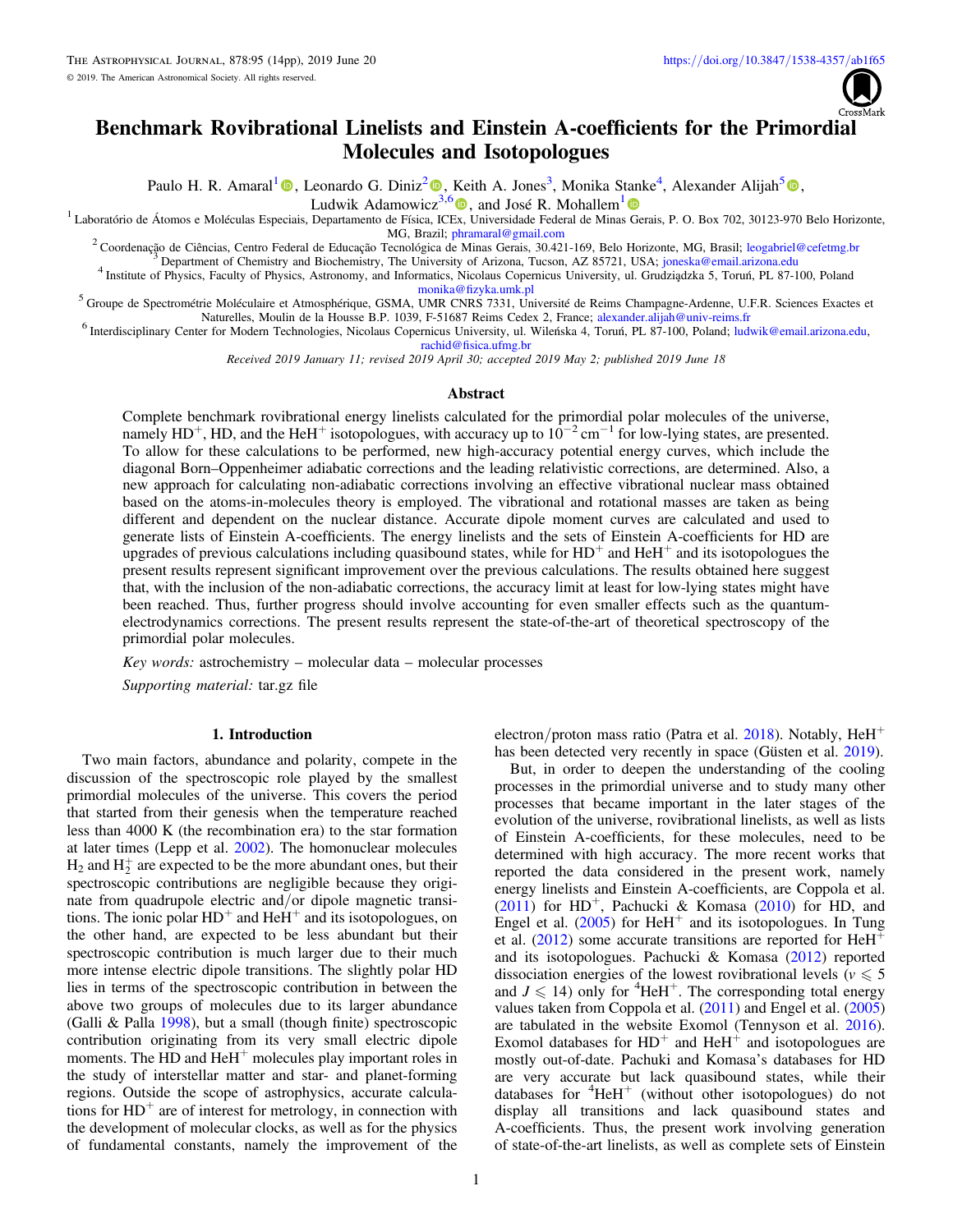

# Benchmark Rovibrational Linelists and Einstein A-coefficients for the Primordial Molecules and Isotopologues

Paulo H. R. Amaral<sup>[1](https://orcid.org/0000-0003-0799-4143)</sup> <sup>®</sup>, Leonardo G. Diniz<sup>[2](https://orcid.org/0000-0001-6994-2045)</sup> <sup>®</sup>, Keith A. Jones<sup>3</sup>, Monika Stanke<sup>4</sup>, Alexander Alijah<sup>[5](https://orcid.org/0000-0002-4915-0558)</sup> ®[,](https://orcid.org/0000-0002-4915-0558)

Ludwik Adamowicz<sup>[3](https://orcid.org/0000-0001-6994-2045),[6](https://orcid.org/0000-0001-9557-0484)</sup>  $\bullet$ , and José R. Mohallem<sup>[1](https://orcid.org/0000-0002-4776-4417)</sup>

<sup>1</sup> Laboratório de Átomos e Moléculas Especiais, Departamento de Física, IC[Ex,](https://orcid.org/0000-0001-9557-0484) Universidade Federal de Minas [Ge](https://orcid.org/0000-0002-4776-4417)rais, P. O. Box 702, 30123-970 Belo Horizonte, MG, Brazil; phramaral@gmail.com

<sup>2</sup> Coordenação de Ciências, Centro Federal de Educação Tecnológica de Minas Gerais, 30.421-169, Belo Horizonte, MG, Brasil; [leogabriel@cefetmg.br](mailto:leogabriel@cefetmg.br) <sup>3</sup> Department of Chemistry and Biochemistry, The University of Arizona, Tu

 $^5$  Groupe de Spectrométrie Moléculaire et Atmosphérique, GSMA, UMR CNRS 7331, Université de Reims Champagne-Ardenne, U.F.R. Sciences Exactes et Naturelles, Moulin de la Housse B.P. 1039, F-51687 Reims Cedex 2, France; a

<sup>6</sup> Interdisciplinary Center for Modern Technologies, Nicolaus Copernicus University, ul. Wileńska 4, Toruń, PL 87-100, Poland; [ludwik@email.arizona.edu](mailto:ludwik@email.arizona.edu), [rachid@](mailto:rachid@fisica.ufmg.br)fi[sica.ufmg.br](mailto:rachid@fisica.ufmg.br)

Received 2019 January 11; revised 2019 April 30; accepted 2019 May 2; published 2019 June 18

# Abstract

Complete benchmark rovibrational energy linelists calculated for the primordial polar molecules of the universe, namely HD<sup>+</sup>, HD, and the HeH<sup>+</sup> isotopologues, with accuracy up to  $10^{-2}$  cm<sup>-1</sup> for low-lying states, are presented. To allow for these calculations to be performed, new high-accuracy potential energy curves, which include the diagonal Born–Oppenheimer adiabatic corrections and the leading relativistic corrections, are determined. Also, a new approach for calculating non-adiabatic corrections involving an effective vibrational nuclear mass obtained based on the atoms-in-molecules theory is employed. The vibrational and rotational masses are taken as being different and dependent on the nuclear distance. Accurate dipole moment curves are calculated and used to generate lists of Einstein A-coefficients. The energy linelists and the sets of Einstein A-coefficients for HD are upgrades of previous calculations including quasibound states, while for  $HD^+$  and  $HeH^+$  and its isotopologues the present results represent significant improvement over the previous calculations. The results obtained here suggest that, with the inclusion of the non-adiabatic corrections, the accuracy limit at least for low-lying states might have been reached. Thus, further progress should involve accounting for even smaller effects such as the quantumelectrodynamics corrections. The present results represent the state-of-the-art of theoretical spectroscopy of the primordial polar molecules.

Key words: astrochemistry – molecular data – molecular processes

Supporting material: tar.gz file

#### 1. Introduction

Two main factors, abundance and polarity, compete in the discussion of the spectroscopic role played by the smallest primordial molecules of the universe. This covers the period that started from their genesis when the temperature reached less than 4000 K (the recombination era) to the star formation at later times (Lepp et al. [2002](#page-13-0)). The homonuclear molecules  $H_2$  and  $H_2^+$  are expected to be the more abundant ones, but their spectroscopic contributions are negligible because they originate from quadrupole electric and/or dipole magnetic transitions. The ionic polar  $HD^+$  and  $HeH^+$  and its isotopologues, on the other hand, are expected to be less abundant but their spectroscopic contribution is much larger due to their much more intense electric dipole transitions. The slightly polar HD lies in terms of the spectroscopic contribution in between the above two groups of molecules due to its larger abundance (Galli & Palla [1998](#page-13-0)), but a small (though finite) spectroscopic contribution originating from its very small electric dipole moments. The HD and  $HeH<sup>+</sup>$  molecules play important roles in the study of interstellar matter and star- and planet-forming regions. Outside the scope of astrophysics, accurate calculations for  $HD^+$  are of interest for metrology, in connection with the development of molecular clocks, as well as for the physics of fundamental constants, namely the improvement of the

electron/proton mass ratio (Patra et al. [2018](#page-13-0)). Notably,  $HeH^+$ has been detected very recently in space (Güsten et al. [2019](#page-13-0)).

But, in order to deepen the understanding of the cooling processes in the primordial universe and to study many other processes that became important in the later stages of the evolution of the universe, rovibrational linelists, as well as lists of Einstein A-coefficients, for these molecules, need to be determined with high accuracy. The more recent works that reported the data considered in the present work, namely energy linelists and Einstein A-coefficients, are Coppola et al.  $(2011)$  $(2011)$  $(2011)$  for HD<sup>+</sup>, Pachucki & Komasa  $(2010)$  $(2010)$  $(2010)$  for HD, and Engel et al.  $(2005)$  $(2005)$  $(2005)$  for HeH<sup>+</sup> and its isotopologues. In Tung et al.  $(2012)$  $(2012)$  $(2012)$  some accurate transitions are reported for  $HeH<sup>+</sup>$ and its isotopologues. Pachucki & Komasa ([2012](#page-13-0)) reported dissociation energies of the lowest rovibrational levels ( $v \le 5$ and  $J \leq 14$ ) only for <sup>4</sup>HeH<sup>+</sup>. The corresponding total energy values taken from Coppola et al. ([2011](#page-12-0)) and Engel et al. ([2005](#page-13-0)) are tabulated in the website Exomol (Tennyson et al. [2016](#page-13-0)). Exomol databases for  $HD^+$  and  $HeH^+$  and isotopologues are mostly out-of-date. Pachuki and Komasa's databases for HD are very accurate but lack quasibound states, while their databases for <sup>4</sup>HeH<sup>+</sup> (without other isotopologues) do not display all transitions and lack quasibound states and A-coefficients. Thus, the present work involving generation of state-of-the-art linelists, as well as complete sets of Einstein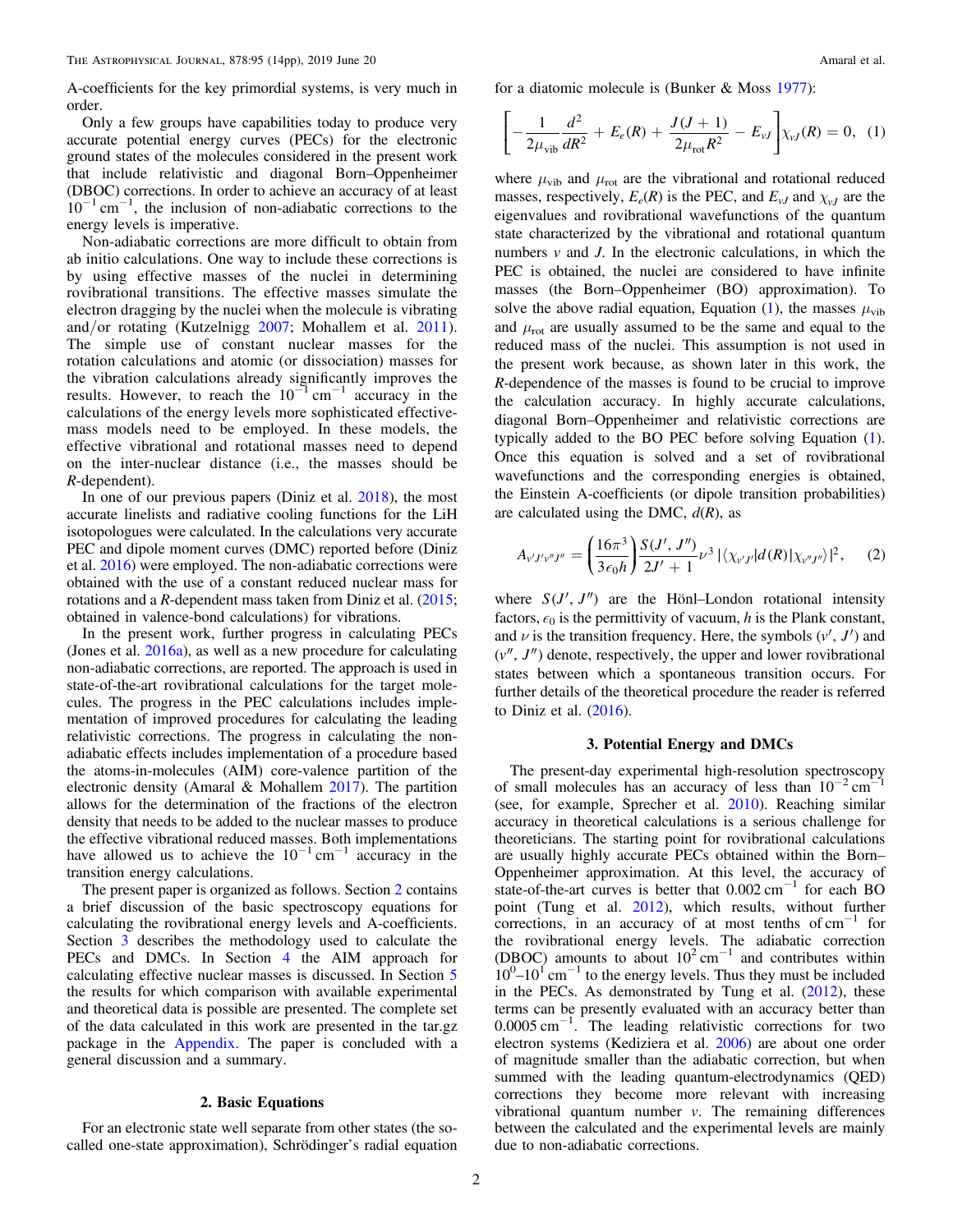<span id="page-1-0"></span>A-coefficients for the key primordial systems, is very much in order.

Only a few groups have capabilities today to produce very accurate potential energy curves (PECs) for the electronic ground states of the molecules considered in the present work that include relativistic and diagonal Born–Oppenheimer (DBOC) corrections. In order to achieve an accuracy of at least  $10^{-1}$  cm<sup>-1</sup>, the inclusion of non-adiabatic corrections to the energy levels is imperative.

Non-adiabatic corrections are more difficult to obtain from ab initio calculations. One way to include these corrections is by using effective masses of the nuclei in determining rovibrational transitions. The effective masses simulate the electron dragging by the nuclei when the molecule is vibrating and/or rotating (Kutzelnigg [2007](#page-13-0); Mohallem et al. [2011](#page-13-0)). The simple use of constant nuclear masses for the rotation calculations and atomic (or dissociation) masses for the vibration calculations already significantly improves the results. However, to reach the  $10^{-1}$  cm<sup>-1</sup> accuracy in the calculations of the energy levels more sophisticated effectivemass models need to be employed. In these models, the effective vibrational and rotational masses need to depend on the inter-nuclear distance (i.e., the masses should be R-dependent).

In one of our previous papers (Diniz et al. [2018](#page-13-0)), the most accurate linelists and radiative cooling functions for the LiH isotopologues were calculated. In the calculations very accurate PEC and dipole moment curves (DMC) reported before (Diniz et al. [2016](#page-13-0)) were employed. The non-adiabatic corrections were obtained with the use of a constant reduced nuclear mass for rotations and a R-dependent mass taken from Diniz et al. ([2015](#page-12-0); obtained in valence-bond calculations) for vibrations.

In the present work, further progress in calculating PECs (Jones et al. [2016a](#page-13-0)), as well as a new procedure for calculating non-adiabatic corrections, are reported. The approach is used in state-of-the-art rovibrational calculations for the target molecules. The progress in the PEC calculations includes implementation of improved procedures for calculating the leading relativistic corrections. The progress in calculating the nonadiabatic effects includes implementation of a procedure based the atoms-in-molecules (AIM) core-valence partition of the electronic density (Amaral & Mohallem [2017](#page-12-0)). The partition allows for the determination of the fractions of the electron density that needs to be added to the nuclear masses to produce the effective vibrational reduced masses. Both implementations have allowed us to achieve the  $10^{-1}$  cm<sup>-1</sup> accuracy in the transition energy calculations.

The present paper is organized as follows. Section 2 contains a brief discussion of the basic spectroscopy equations for calculating the rovibrational energy levels and A-coefficients. Section 3 describes the methodology used to calculate the PECs and DMCs. In Section [4](#page-2-0) the AIM approach for calculating effective nuclear masses is discussed. In Section [5](#page-4-0) the results for which comparison with available experimental and theoretical data is possible are presented. The complete set of the data calculated in this work are presented in the tar.gz package in the [Appendix](#page-11-0). The paper is concluded with a general discussion and a summary.

## 2. Basic Equations

For an electronic state well separate from other states (the socalled one-state approximation), Schrödinger's radial equation for a diatomic molecule is (Bunker & Moss [1977](#page-12-0)):

$$
\left[ -\frac{1}{2\mu_{\rm vib}} \frac{d^2}{dR^2} + E_e(R) + \frac{J(J+1)}{2\mu_{\rm rot}R^2} - E_{\nu J} \right] \chi_{\nu J}(R) = 0, \tag{1}
$$

where  $\mu_{\text{vib}}$  and  $\mu_{\text{rot}}$  are the vibrational and rotational reduced masses, respectively,  $E_e(R)$  is the PEC, and  $E_{vJ}$  and  $\chi_{vJ}$  are the eigenvalues and rovibrational wavefunctions of the quantum state characterized by the vibrational and rotational quantum numbers  $\nu$  and  $J$ . In the electronic calculations, in which the PEC is obtained, the nuclei are considered to have infinite masses (the Born–Oppenheimer (BO) approximation). To solve the above radial equation, Equation (1), the masses  $\mu_{\text{vib}}$ and  $\mu_{\text{rot}}$  are usually assumed to be the same and equal to the reduced mass of the nuclei. This assumption is not used in the present work because, as shown later in this work, the R-dependence of the masses is found to be crucial to improve the calculation accuracy. In highly accurate calculations, diagonal Born–Oppenheimer and relativistic corrections are typically added to the BO PEC before solving Equation (1). Once this equation is solved and a set of rovibrational wavefunctions and the corresponding energies is obtained, the Einstein A-coefficients (or dipole transition probabilities) are calculated using the DMC,  $d(R)$ , as

$$
A_{v'J'v''J''} = \left(\frac{16\pi^3}{3\epsilon_0 h}\right) \frac{S(J', J'')}{2J' + 1} \nu^3 \left| \langle \chi_{v'J'} | d(R) | \chi_{v''J''} \rangle \right|^2, \quad (2)
$$

where  $S(J', J'')$  are the Hönl–London rotational intensity factors,  $\epsilon_0$  is the permittivity of vacuum, h is the Plank constant, and  $\nu$  is the transition frequency. Here, the symbols  $(\nu', J')$  and  $(v'', J'')$  denote, respectively, the upper and lower rovibrational states between which a spontaneous transition occurs. For further details of the theoretical procedure the reader is referred to Diniz et al. ([2016](#page-13-0)).

## 3. Potential Energy and DMCs

The present-day experimental high-resolution spectroscopy of small molecules has an accuracy of less than  $10^{-2}$  cm<sup>-1</sup> (see, for example, Sprecher et al. [2010](#page-13-0)). Reaching similar accuracy in theoretical calculations is a serious challenge for theoreticians. The starting point for rovibrational calculations are usually highly accurate PECs obtained within the Born– Oppenheimer approximation. At this level, the accuracy of state-of-the-art curves is better that  $0.002 \text{ cm}^{-1}$  for each BO point (Tung et al. [2012](#page-13-0)), which results, without further corrections, in an accuracy of at most tenths of cm−<sup>1</sup> for the rovibrational energy levels. The adiabatic correction (DBOC) amounts to about  $10^2$  cm<sup>-1</sup> and contributes within  $10^{0}$ – $10^{1}$  cm<sup>-1</sup> to the energy levels. Thus they must be included in the PECs. As demonstrated by Tung et al. ([2012](#page-13-0)), these terms can be presently evaluated with an accuracy better than  $0.0005$  cm<sup>-1</sup>. The leading relativistic corrections for two electron systems (Kediziera et al. [2006](#page-13-0)) are about one order of magnitude smaller than the adiabatic correction, but when summed with the leading quantum-electrodynamics (QED) corrections they become more relevant with increasing vibrational quantum number  $v$ . The remaining differences between the calculated and the experimental levels are mainly due to non-adiabatic corrections.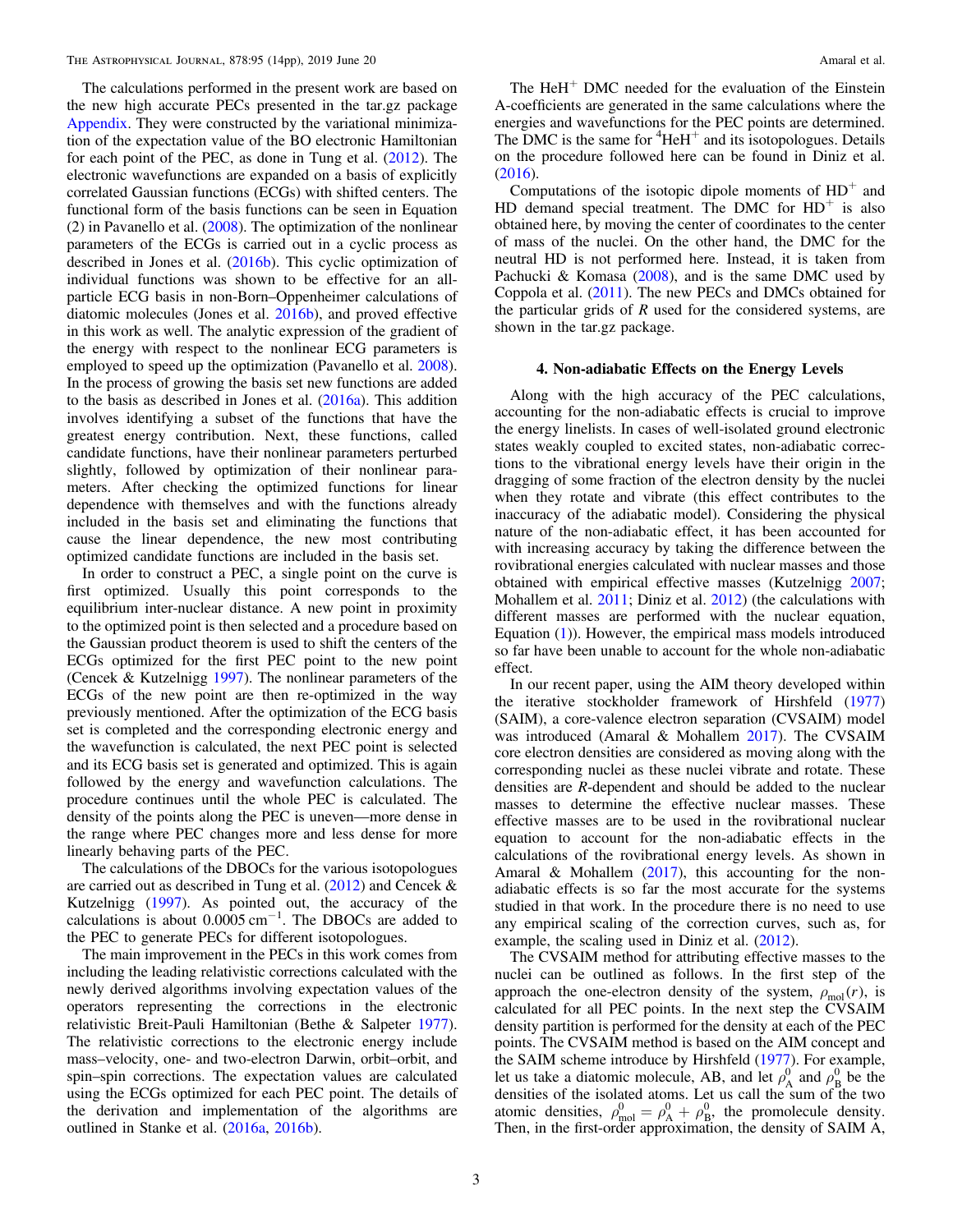<span id="page-2-0"></span>The calculations performed in the present work are based on the new high accurate PECs presented in the tar.gz package [Appendix](#page-11-0). They were constructed by the variational minimization of the expectation value of the BO electronic Hamiltonian for each point of the PEC, as done in Tung et al. ([2012](#page-13-0)). The electronic wavefunctions are expanded on a basis of explicitly correlated Gaussian functions (ECGs) with shifted centers. The functional form of the basis functions can be seen in Equation (2) in Pavanello et al. ([2008](#page-13-0)). The optimization of the nonlinear parameters of the ECGs is carried out in a cyclic process as described in Jones et al. ([2016b](#page-13-0)). This cyclic optimization of individual functions was shown to be effective for an allparticle ECG basis in non-Born–Oppenheimer calculations of diatomic molecules (Jones et al. [2016b](#page-13-0)), and proved effective in this work as well. The analytic expression of the gradient of the energy with respect to the nonlinear ECG parameters is employed to speed up the optimization (Pavanello et al. [2008](#page-13-0)). In the process of growing the basis set new functions are added to the basis as described in Jones et al. ([2016a](#page-13-0)). This addition involves identifying a subset of the functions that have the greatest energy contribution. Next, these functions, called candidate functions, have their nonlinear parameters perturbed slightly, followed by optimization of their nonlinear parameters. After checking the optimized functions for linear dependence with themselves and with the functions already included in the basis set and eliminating the functions that cause the linear dependence, the new most contributing optimized candidate functions are included in the basis set.

In order to construct a PEC, a single point on the curve is first optimized. Usually this point corresponds to the equilibrium inter-nuclear distance. A new point in proximity to the optimized point is then selected and a procedure based on the Gaussian product theorem is used to shift the centers of the ECGs optimized for the first PEC point to the new point (Cencek & Kutzelnigg [1997](#page-12-0)). The nonlinear parameters of the ECGs of the new point are then re-optimized in the way previously mentioned. After the optimization of the ECG basis set is completed and the corresponding electronic energy and the wavefunction is calculated, the next PEC point is selected and its ECG basis set is generated and optimized. This is again followed by the energy and wavefunction calculations. The procedure continues until the whole PEC is calculated. The density of the points along the PEC is uneven—more dense in the range where PEC changes more and less dense for more linearly behaving parts of the PEC.

The calculations of the DBOCs for the various isotopologues are carried out as described in Tung et al.  $(2012)$  $(2012)$  $(2012)$  and Cencek & Kutzelnigg ([1997](#page-12-0)). As pointed out, the accuracy of the calculations is about  $0.0005$  cm<sup>-1</sup>. The DBOCs are added to the PEC to generate PECs for different isotopologues.

The main improvement in the PECs in this work comes from including the leading relativistic corrections calculated with the newly derived algorithms involving expectation values of the operators representing the corrections in the electronic relativistic Breit-Pauli Hamiltonian (Bethe & Salpeter [1977](#page-12-0)). The relativistic corrections to the electronic energy include mass–velocity, one- and two-electron Darwin, orbit–orbit, and spin–spin corrections. The expectation values are calculated using the ECGs optimized for each PEC point. The details of the derivation and implementation of the algorithms are outlined in Stanke et al. ([2016a,](#page-13-0) [2016b](#page-13-0)).

The  $HeH<sup>+</sup>$  DMC needed for the evaluation of the Einstein A-coefficients are generated in the same calculations where the energies and wavefunctions for the PEC points are determined. The DMC is the same for  ${}^{4}$ HeH<sup>+</sup> and its isotopologues. Details on the procedure followed here can be found in Diniz et al. ([2016](#page-13-0)).

Computations of the isotopic dipole moments of  $HD^+$  and HD demand special treatment. The DMC for  $HD^+$  is also obtained here, by moving the center of coordinates to the center of mass of the nuclei. On the other hand, the DMC for the neutral HD is not performed here. Instead, it is taken from Pachucki & Komasa ([2008](#page-13-0)), and is the same DMC used by Coppola et al. ([2011](#page-12-0)). The new PECs and DMCs obtained for the particular grids of  $R$  used for the considered systems, are shown in the tar.gz package.

### 4. Non-adiabatic Effects on the Energy Levels

Along with the high accuracy of the PEC calculations, accounting for the non-adiabatic effects is crucial to improve the energy linelists. In cases of well-isolated ground electronic states weakly coupled to excited states, non-adiabatic corrections to the vibrational energy levels have their origin in the dragging of some fraction of the electron density by the nuclei when they rotate and vibrate (this effect contributes to the inaccuracy of the adiabatic model). Considering the physical nature of the non-adiabatic effect, it has been accounted for with increasing accuracy by taking the difference between the rovibrational energies calculated with nuclear masses and those obtained with empirical effective masses (Kutzelnigg [2007](#page-13-0); Mohallem et al. [2011;](#page-13-0) Diniz et al. [2012](#page-12-0)) (the calculations with different masses are performed with the nuclear equation, Equation ([1](#page-1-0))). However, the empirical mass models introduced so far have been unable to account for the whole non-adiabatic effect.

In our recent paper, using the AIM theory developed within the iterative stockholder framework of Hirshfeld ([1977](#page-13-0)) (SAIM), a core-valence electron separation (CVSAIM) model was introduced (Amaral & Mohallem [2017](#page-12-0)). The CVSAIM core electron densities are considered as moving along with the corresponding nuclei as these nuclei vibrate and rotate. These densities are R-dependent and should be added to the nuclear masses to determine the effective nuclear masses. These effective masses are to be used in the rovibrational nuclear equation to account for the non-adiabatic effects in the calculations of the rovibrational energy levels. As shown in Amaral & Mohallem ([2017](#page-12-0)), this accounting for the nonadiabatic effects is so far the most accurate for the systems studied in that work. In the procedure there is no need to use any empirical scaling of the correction curves, such as, for example, the scaling used in Diniz et al. ([2012](#page-12-0)).

The CVSAIM method for attributing effective masses to the nuclei can be outlined as follows. In the first step of the approach the one-electron density of the system,  $\rho_{\text{mol}}(r)$ , is calculated for all PEC points. In the next step the CVSAIM density partition is performed for the density at each of the PEC points. The CVSAIM method is based on the AIM concept and the SAIM scheme introduce by Hirshfeld ([1977](#page-13-0)). For example, let us take a diatomic molecule, AB, and let  $\rho_A^0$  and  $\rho_B^0$  be the densities of the isolated atoms. Let us call the sum of the two atomic densities,  $\rho_{\text{mol}}^0 = \rho_A^0 + \rho_B^0$ , the promolecule density. Then, in the first-order approximation, the density of SAIM  $\AA$ ,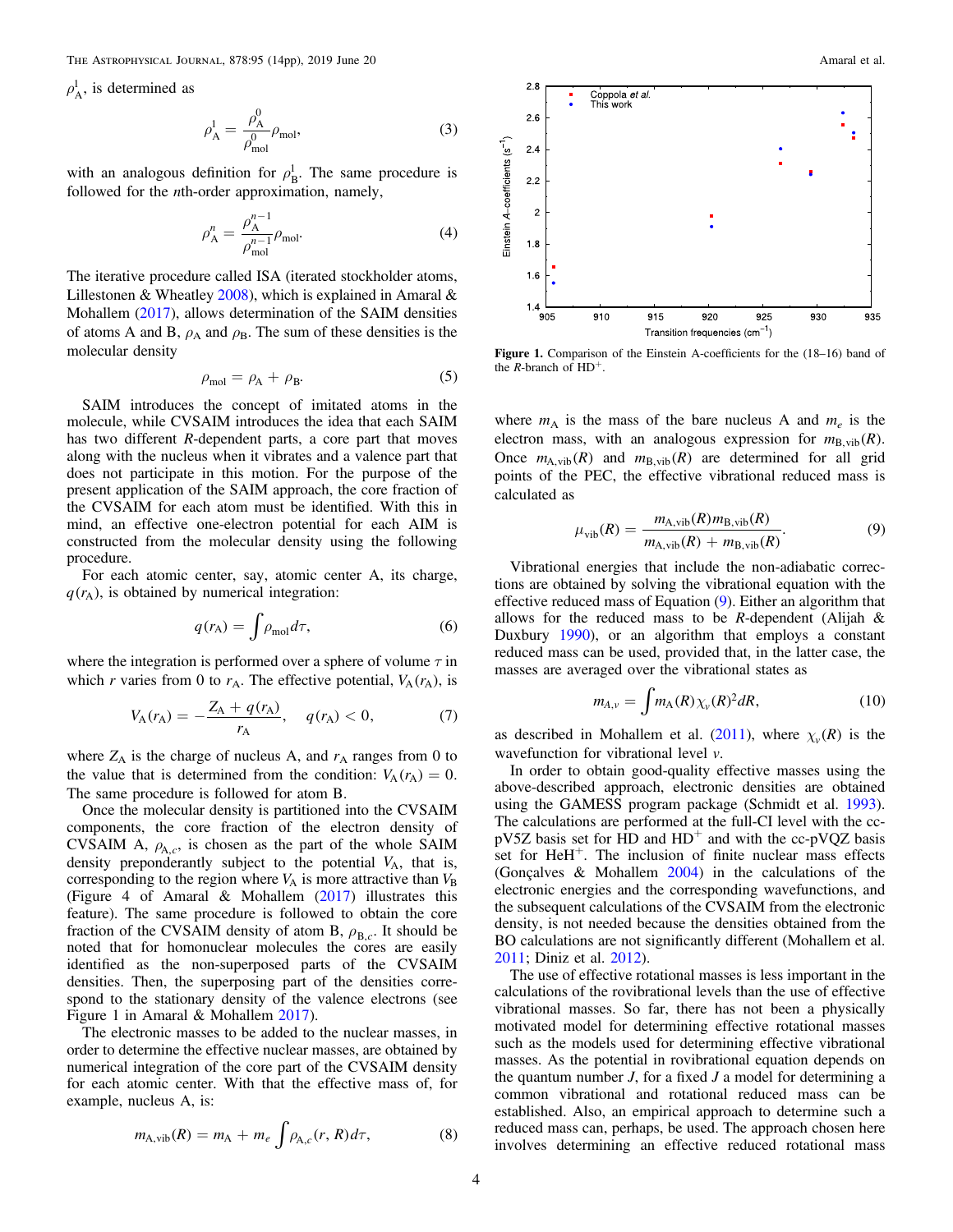<span id="page-3-0"></span> $\rho_{\rm A}^{\rm l}$ , is determined as

$$
\rho_{\mathbf{A}}^{\mathbf{l}} = \frac{\rho_{\mathbf{A}}^0}{\rho_{\text{mol}}^0} \rho_{\text{mol}},
$$
\n(3)

with an analogous definition for  $\rho_B^l$ . The same procedure is followed for the *n*th-order approximation, namely,

$$
\rho_{\mathbf{A}}^{n} = \frac{\rho_{\mathbf{A}}^{n-1}}{\rho_{\text{mol}}^{n-1}} \rho_{\text{mol}}.
$$
\n(4)

The iterative procedure called ISA (iterated stockholder atoms, Lillestonen & Wheatley [2008](#page-13-0)), which is explained in Amaral  $\&$ Mohallem ([2017](#page-12-0)), allows determination of the SAIM densities of atoms A and B,  $\rho_A$  and  $\rho_B$ . The sum of these densities is the molecular density

$$
\rho_{\text{mol}} = \rho_{\text{A}} + \rho_{\text{B}}.\tag{5}
$$

SAIM introduces the concept of imitated atoms in the molecule, while CVSAIM introduces the idea that each SAIM has two different R-dependent parts, a core part that moves along with the nucleus when it vibrates and a valence part that does not participate in this motion. For the purpose of the present application of the SAIM approach, the core fraction of the CVSAIM for each atom must be identified. With this in mind, an effective one-electron potential for each AIM is constructed from the molecular density using the following procedure.

For each atomic center, say, atomic center A, its charge,  $q(r_A)$ , is obtained by numerical integration:

$$
q(r_{\rm A}) = \int \rho_{\rm mol} d\tau,\tag{6}
$$

where the integration is performed over a sphere of volume  $\tau$  in which r varies from 0 to  $r_A$ . The effective potential,  $V_A(r_A)$ , is

$$
V_{A}(r_{A}) = -\frac{Z_{A} + q(r_{A})}{r_{A}}, \quad q(r_{A}) < 0, \tag{7}
$$

where  $Z_A$  is the charge of nucleus A, and  $r_A$  ranges from 0 to the value that is determined from the condition:  $V_A(r_A) = 0$ . The same procedure is followed for atom B.

Once the molecular density is partitioned into the CVSAIM components, the core fraction of the electron density of CVSAIM A,  $\rho_{A,c}$ , is chosen as the part of the whole SAIM density preponderantly subject to the potential  $V_A$ , that is, corresponding to the region where  $V_A$  is more attractive than  $V_B$ (Figure 4 of Amaral & Mohallem ([2017](#page-12-0)) illustrates this feature). The same procedure is followed to obtain the core fraction of the CVSAIM density of atom B,  $\rho_{B,c}$ . It should be noted that for homonuclear molecules the cores are easily identified as the non-superposed parts of the CVSAIM densities. Then, the superposing part of the densities correspond to the stationary density of the valence electrons (see Figure 1 in Amaral & Mohallem [2017](#page-12-0)).

The electronic masses to be added to the nuclear masses, in order to determine the effective nuclear masses, are obtained by numerical integration of the core part of the CVSAIM density for each atomic center. With that the effective mass of, for example, nucleus A, is:

$$
m_{A,\text{vib}}(R) = m_A + m_e \int \rho_{A,c}(r,R)d\tau, \tag{8}
$$



Figure 1. Comparison of the Einstein A-coefficients for the (18–16) band of the *R*-branch of  $HD^+$ .

where  $m_A$  is the mass of the bare nucleus A and  $m_e$  is the electron mass, with an analogous expression for  $m_{B,vib}(R)$ . Once  $m_{A,\text{vib}}(R)$  and  $m_{B,\text{vib}}(R)$  are determined for all grid points of the PEC, the effective vibrational reduced mass is calculated as

$$
\mu_{\text{vib}}(R) = \frac{m_{\text{A},\text{vib}}(R)m_{\text{B},\text{vib}}(R)}{m_{\text{A},\text{vib}}(R) + m_{\text{B},\text{vib}}(R)}.
$$
(9)

Vibrational energies that include the non-adiabatic corrections are obtained by solving the vibrational equation with the effective reduced mass of Equation (9). Either an algorithm that allows for the reduced mass to be  $R$ -dependent (Alijah  $\&$ Duxbury [1990](#page-12-0)), or an algorithm that employs a constant reduced mass can be used, provided that, in the latter case, the masses are averaged over the vibrational states as

$$
m_{A,\nu} = \int m_A(R) \chi_{\nu}(R)^2 dR, \qquad (10)
$$

as described in Mohallem et al. ([2011](#page-13-0)), where  $\chi_v(R)$  is the wavefunction for vibrational level  $\nu$ .

In order to obtain good-quality effective masses using the above-described approach, electronic densities are obtained using the GAMESS program package (Schmidt et al. [1993](#page-13-0)). The calculations are performed at the full-CI level with the cc $pV5Z$  basis set for HD and  $HD<sup>+</sup>$  and with the cc-pVQZ basis set for HeH<sup>+</sup>. The inclusion of finite nuclear mass effects (Gonçalves & Mohallem [2004](#page-13-0)) in the calculations of the electronic energies and the corresponding wavefunctions, and the subsequent calculations of the CVSAIM from the electronic density, is not needed because the densities obtained from the BO calculations are not significantly different (Mohallem et al. [2011;](#page-13-0) Diniz et al. [2012](#page-12-0)).

The use of effective rotational masses is less important in the calculations of the rovibrational levels than the use of effective vibrational masses. So far, there has not been a physically motivated model for determining effective rotational masses such as the models used for determining effective vibrational masses. As the potential in rovibrational equation depends on the quantum number  $J$ , for a fixed  $J$  a model for determining a common vibrational and rotational reduced mass can be established. Also, an empirical approach to determine such a reduced mass can, perhaps, be used. The approach chosen here involves determining an effective reduced rotational mass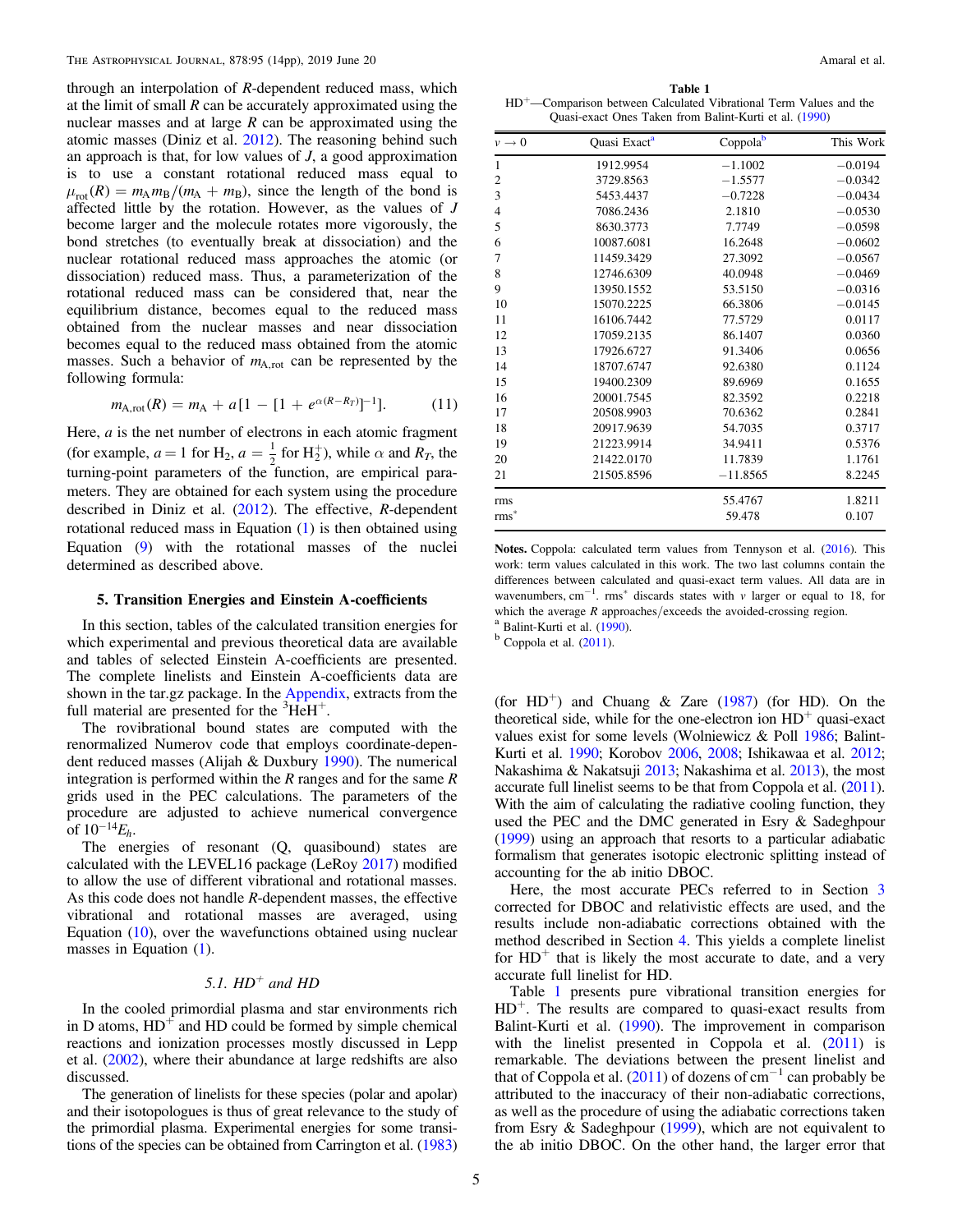<span id="page-4-0"></span>through an interpolation of R-dependent reduced mass, which at the limit of small  *can be accurately approximated using the* nuclear masses and at large  $R$  can be approximated using the atomic masses (Diniz et al. [2012](#page-12-0)). The reasoning behind such an approach is that, for low values of  $J$ , a good approximation is to use a constant rotational reduced mass equal to  $\mu_{\rm rot}(R) = m_{\rm A} m_{\rm B} / (m_{\rm A} + m_{\rm B})$ , since the length of the bond is affected little by the rotation. However, as the values of J become larger and the molecule rotates more vigorously, the bond stretches (to eventually break at dissociation) and the nuclear rotational reduced mass approaches the atomic (or dissociation) reduced mass. Thus, a parameterization of the rotational reduced mass can be considered that, near the equilibrium distance, becomes equal to the reduced mass obtained from the nuclear masses and near dissociation becomes equal to the reduced mass obtained from the atomic masses. Such a behavior of  $m_{A,rot}$  can be represented by the following formula:

$$
m_{A,\text{rot}}(R) = m_A + a[1 - [1 + e^{\alpha(R - R_T)}]^{-1}]. \tag{11}
$$

Here,  $a$  is the net number of electrons in each atomic fragment (for example,  $a = 1$  for  $H_2$ ,  $a = \frac{1}{2}$  for  $H_2^+$ ), while  $\alpha$  and  $R_T$ , the turning-point parameters of the function, are empirical parameters. They are obtained for each system using the procedure described in Diniz et al.  $(2012)$  $(2012)$  $(2012)$ . The effective, R-dependent rotational reduced mass in Equation ([1](#page-1-0)) is then obtained using Equation ([9](#page-3-0)) with the rotational masses of the nuclei determined as described above.

## 5. Transition Energies and Einstein A-coefficients

In this section, tables of the calculated transition energies for which experimental and previous theoretical data are available and tables of selected Einstein A-coefficients are presented. The complete linelists and Einstein A-coefficients data are shown in the tar.gz package. In the [Appendix](#page-11-0), extracts from the full material are presented for the  ${}^{3}\text{HeH}^{+}$ .

The rovibrational bound states are computed with the renormalized Numerov code that employs coordinate-dependent reduced masses (Alijah & Duxbury [1990](#page-12-0)). The numerical integration is performed within the  $R$  ranges and for the same  $R$ grids used in the PEC calculations. The parameters of the procedure are adjusted to achieve numerical convergence of  $10^{-14} E_h$ .

The energies of resonant (Q, quasibound) states are calculated with the LEVEL16 package (LeRoy [2017](#page-13-0)) modified to allow the use of different vibrational and rotational masses. As this code does not handle R-dependent masses, the effective vibrational and rotational masses are averaged, using Equation ([10](#page-3-0)), over the wavefunctions obtained using nuclear masses in Equation ([1](#page-1-0)).

# 5.1.  $HD^+$  and  $HD$

In the cooled primordial plasma and star environments rich in D atoms,  $HD^+$  and HD could be formed by simple chemical reactions and ionization processes mostly discussed in Lepp et al. ([2002](#page-13-0)), where their abundance at large redshifts are also discussed.

The generation of linelists for these species (polar and apolar) and their isotopologues is thus of great relevance to the study of the primordial plasma. Experimental energies for some transitions of the species can be obtained from Carrington et al. ([1983](#page-12-0))

Table 1 HD+—Comparison between Calculated Vibrational Term Values and the Quasi-exact Ones Taken from Balint-Kurti et al. ([1990](#page-12-0))

| $v \rightarrow 0$ | Quasi Exact <sup>a</sup> | Coppolab   | This Work |
|-------------------|--------------------------|------------|-----------|
| $\mathbf{1}$      | 1912.9954                | $-1.1002$  | $-0.0194$ |
| $\overline{c}$    | 3729.8563                | $-1.5577$  | $-0.0342$ |
| 3                 | 5453.4437                | $-0.7228$  | $-0.0434$ |
| $\overline{4}$    | 7086.2436                | 2.1810     | $-0.0530$ |
| 5                 | 8630.3773                | 7.7749     | $-0.0598$ |
| 6                 | 10087.6081               | 16.2648    | $-0.0602$ |
| 7                 | 11459.3429               | 27.3092    | $-0.0567$ |
| 8                 | 12746.6309               | 40.0948    | $-0.0469$ |
| 9                 | 13950.1552               | 53.5150    | $-0.0316$ |
| 10                | 15070.2225               | 66.3806    | $-0.0145$ |
| 11                | 16106.7442               | 77.5729    | 0.0117    |
| 12                | 17059.2135               | 86.1407    | 0.0360    |
| 13                | 17926.6727               | 91.3406    | 0.0656    |
| 14                | 18707.6747               | 92.6380    | 0.1124    |
| 15                | 19400.2309               | 89.6969    | 0.1655    |
| 16                | 20001.7545               | 82.3592    | 0.2218    |
| 17                | 20508.9903               | 70.6362    | 0.2841    |
| 18                | 20917.9639               | 54.7035    | 0.3717    |
| 19                | 21223.9914               | 34.9411    | 0.5376    |
| 20                | 21422.0170               | 11.7839    | 1.1761    |
| 21                | 21505.8596               | $-11.8565$ | 8.2245    |
| rms               |                          | 55.4767    | 1.8211    |
| $\mathrm{rms}^*$  |                          | 59.478     | 0.107     |

Notes. Coppola: calculated term values from Tennyson et al. ([2016](#page-13-0)). This work: term values calculated in this work. The two last columns contain the differences between calculated and quasi-exact term values. All data are in wavenumbers, cm<sup>-1</sup>. rms<sup>\*</sup> discards states with v larger or equal to 18, for which the average R approaches/exceeds the avoided-crossing region. a Balint-Kurti et al. ([1990](#page-12-0)). b Coppola et al. ([2011](#page-12-0)).

(for  $HD^+$ ) and Chuang & Zare ([1987](#page-12-0)) (for HD). On the theoretical side, while for the one-electron ion  $HD<sup>+</sup>$  quasi-exact values exist for some levels (Wolniewicz & Poll [1986](#page-13-0); Balint-Kurti et al. [1990;](#page-12-0) Korobov [2006,](#page-13-0) [2008](#page-13-0); Ishikawaa et al. [2012](#page-13-0); Nakashima & Nakatsuji [2013;](#page-13-0) Nakashima et al. [2013](#page-13-0)), the most accurate full linelist seems to be that from Coppola et al. ([2011](#page-12-0)). With the aim of calculating the radiative cooling function, they used the PEC and the DMC generated in Esry & Sadeghpour ([1999](#page-13-0)) using an approach that resorts to a particular adiabatic formalism that generates isotopic electronic splitting instead of accounting for the ab initio DBOC.

Here, the most accurate PECs referred to in Section [3](#page-1-0) corrected for DBOC and relativistic effects are used, and the results include non-adiabatic corrections obtained with the method described in Section [4](#page-2-0). This yields a complete linelist for  $HD^+$  that is likely the most accurate to date, and a very accurate full linelist for HD.

Table 1 presents pure vibrational transition energies for  $HD^+$ . The results are compared to quasi-exact results from Balint-Kurti et al. ([1990](#page-12-0)). The improvement in comparison with the linelist presented in Coppola et al.  $(2011)$  $(2011)$  $(2011)$  is remarkable. The deviations between the present linelist and that of Coppola et al.  $(2011)$  $(2011)$  $(2011)$  of dozens of cm<sup>-1</sup> can probably be attributed to the inaccuracy of their non-adiabatic corrections, as well as the procedure of using the adiabatic corrections taken from Esry  $\&$  Sadeghpour ([1999](#page-13-0)), which are not equivalent to the ab initio DBOC. On the other hand, the larger error that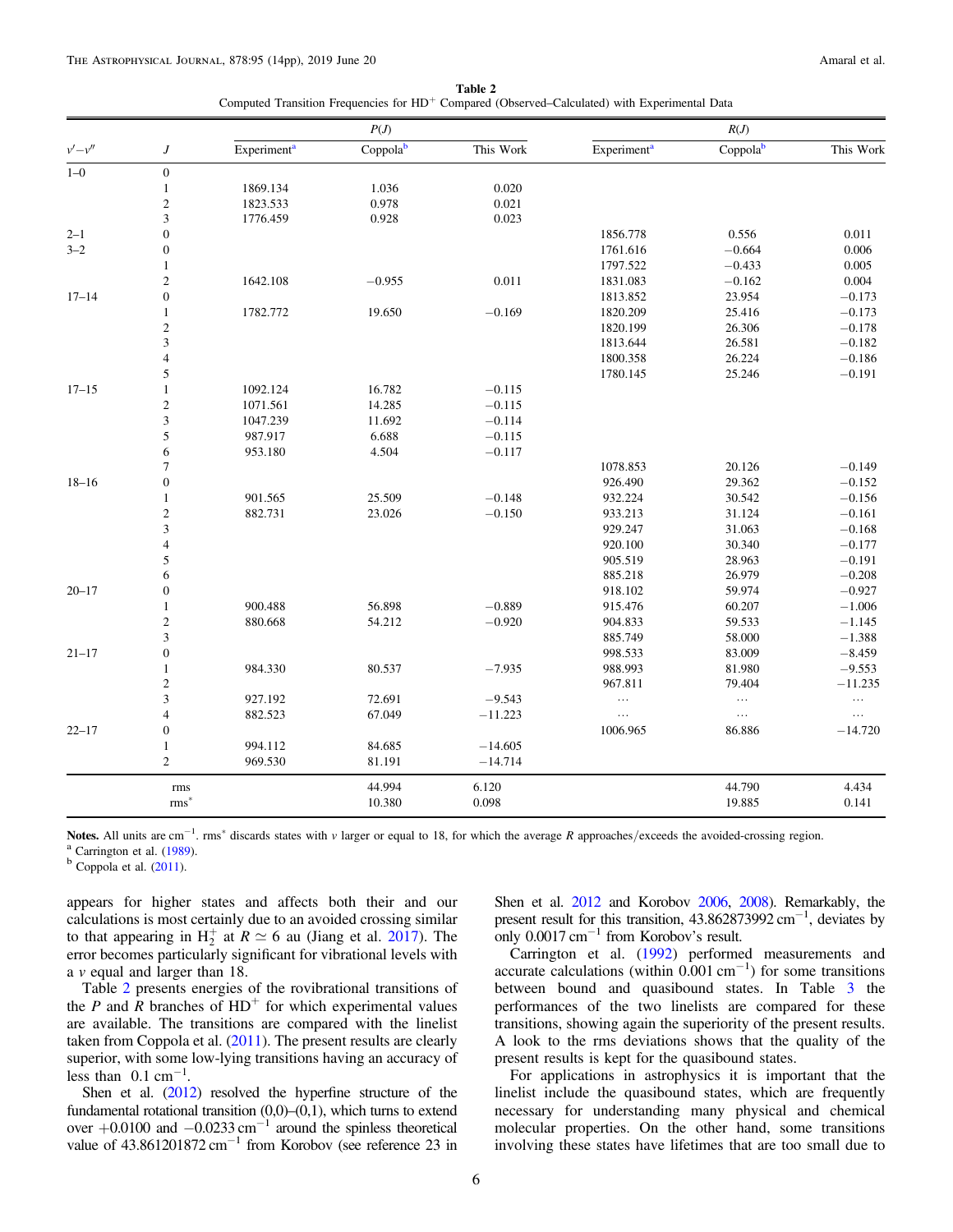Table 2 Computed Transition Frequencies for HD<sup>+</sup> Compared (Observed–Calculated) with Experimental Data

|           |                         |                         | P(J)                 |           |                         | R(J)     |           |
|-----------|-------------------------|-------------------------|----------------------|-----------|-------------------------|----------|-----------|
| $v'-v''$  | $\boldsymbol{J}$        | Experiment <sup>a</sup> | Coppola <sup>b</sup> | This Work | Experiment <sup>a</sup> | Coppolab | This Work |
| $1 - 0$   | $\boldsymbol{0}$        |                         |                      |           |                         |          |           |
|           | $\mathbf{1}$            | 1869.134                | 1.036                | 0.020     |                         |          |           |
|           | $\sqrt{2}$              | 1823.533                | 0.978                | 0.021     |                         |          |           |
|           | 3                       | 1776.459                | 0.928                | 0.023     |                         |          |           |
| $2 - 1$   | $\overline{0}$          |                         |                      |           | 1856.778                | 0.556    | 0.011     |
| $3 - 2$   | $\overline{0}$          |                         |                      |           | 1761.616                | $-0.664$ | 0.006     |
|           | $\mathbf{1}$            |                         |                      |           | 1797.522                | $-0.433$ | 0.005     |
|           | $\overline{2}$          | 1642.108                | $-0.955$             | 0.011     | 1831.083                | $-0.162$ | 0.004     |
| $17 - 14$ | $\boldsymbol{0}$        |                         |                      |           | 1813.852                | 23.954   | $-0.173$  |
|           | $\mathbf{1}$            | 1782.772                | 19.650               | $-0.169$  | 1820.209                | 25.416   | $-0.173$  |
|           | $\overline{2}$          |                         |                      |           | 1820.199                | 26.306   | $-0.178$  |
|           | 3                       |                         |                      |           | 1813.644                | 26.581   | $-0.182$  |
|           | $\overline{\mathbf{4}}$ |                         |                      |           | 1800.358                | 26.224   | $-0.186$  |
|           | 5                       |                         |                      |           | 1780.145                | 25.246   | $-0.191$  |
| $17 - 15$ | $\mathbf{1}$            | 1092.124                | 16.782               | $-0.115$  |                         |          |           |
|           | $\sqrt{2}$              | 1071.561                | 14.285               | $-0.115$  |                         |          |           |
|           | 3                       | 1047.239                | 11.692               | $-0.114$  |                         |          |           |
|           | 5                       | 987.917                 | 6.688                | $-0.115$  |                         |          |           |
|           | 6                       | 953.180                 | 4.504                | $-0.117$  |                         |          |           |
|           | $\overline{7}$          |                         |                      |           | 1078.853                | 20.126   | $-0.149$  |
| $18 - 16$ | $\boldsymbol{0}$        |                         |                      |           | 926.490                 | 29.362   | $-0.152$  |
|           | $\mathbf{1}$            | 901.565                 | 25.509               | $-0.148$  | 932.224                 | 30.542   | $-0.156$  |
|           | $\overline{c}$          | 882.731                 | 23.026               | $-0.150$  | 933.213                 | 31.124   | $-0.161$  |
|           | 3                       |                         |                      |           | 929.247                 | 31.063   | $-0.168$  |
|           | $\overline{\mathbf{4}}$ |                         |                      |           | 920.100                 | 30.340   | $-0.177$  |
|           | 5                       |                         |                      |           | 905.519                 | 28.963   | $-0.191$  |
|           | 6                       |                         |                      |           | 885.218                 | 26.979   | $-0.208$  |
| $20 - 17$ | $\boldsymbol{0}$        |                         |                      |           | 918.102                 | 59.974   | $-0.927$  |
|           | $\mathbf{1}$            | 900.488                 | 56.898               | $-0.889$  | 915.476                 | 60.207   | $-1.006$  |
|           | $\sqrt{2}$              | 880.668                 | 54.212               | $-0.920$  | 904.833                 | 59.533   | $-1.145$  |
|           | $\mathfrak{Z}$          |                         |                      |           | 885.749                 | 58.000   | $-1.388$  |
| $21 - 17$ | $\boldsymbol{0}$        |                         |                      |           | 998.533                 | 83.009   | $-8.459$  |
|           | $\mathbf{1}$            | 984.330                 | 80.537               | $-7.935$  | 988.993                 | 81.980   | $-9.553$  |
|           | $\sqrt{2}$              |                         |                      |           | 967.811                 | 79.404   | $-11.235$ |
|           | $\mathfrak{Z}$          | 927.192                 | 72.691               | $-9.543$  | $\ldots$                | $\ldots$ | $\ldots$  |
|           | $\overline{4}$          | 882.523                 | 67.049               | $-11.223$ | $\ldots$                | $\ldots$ | $\ldots$  |
| $22 - 17$ | $\boldsymbol{0}$        |                         |                      |           | 1006.965                | 86.886   | $-14.720$ |
|           | $\mathbf{1}$            | 994.112                 | 84.685               | $-14.605$ |                         |          |           |
|           | $\mathfrak{2}$          | 969.530                 | 81.191               | $-14.714$ |                         |          |           |
|           | rms                     |                         | 44.994               | 6.120     |                         | 44.790   | 4.434     |
|           | $rms*$                  |                         | 10.380               | 0.098     |                         | 19.885   | 0.141     |

**Notes.** All units are cm<sup>-1</sup>. rms<sup>\*</sup> discards states with v larger or equal to 18, for which the average R approaches/exceeds the avoided-crossing region. <sup>a</sup> Carrington et al. ([1989](#page-12-0)).<br><sup>b</sup> Coppola et al. ([2011](#page-12-0)).

appears for higher states and affects both their and our calculations is most certainly due to an avoided crossing similar to that appearing in  $H_2^+$  at  $R \simeq 6$  au (Jiang et al. [2017](#page-13-0)). The error becomes particularly significant for vibrational levels with a v equal and larger than 18.

Table 2 presents energies of the rovibrational transitions of the P and R branches of  $HD^+$  for which experimental values are available. The transitions are compared with the linelist taken from Coppola et al. ([2011](#page-12-0)). The present results are clearly superior, with some low-lying transitions having an accuracy of less than  $0.1 \text{ cm}^{-1}$ .

Shen et al. ([2012](#page-13-0)) resolved the hyperfine structure of the fundamental rotational transition (0,0)–(0,1), which turns to extend over  $+0.0100$  and  $-0.0233$  cm<sup>-1</sup> around the spinless theoretical value of  $43.861201872 \text{ cm}^{-1}$  from Korobov (see reference 23 in

Shen et al. [2012](#page-13-0) and Korobov [2006,](#page-13-0) [2008](#page-13-0)). Remarkably, the present result for this transition,  $43.862873992$  cm<sup>-1</sup>, deviates by only  $0.0017 \text{ cm}^{-1}$  from Korobov's result.

Carrington et al. ([1992](#page-12-0)) performed measurements and accurate calculations (within  $0.001 \text{ cm}^{-1}$ ) for some transitions between bound and quasibound states. In Table [3](#page-6-0) the performances of the two linelists are compared for these transitions, showing again the superiority of the present results. A look to the rms deviations shows that the quality of the present results is kept for the quasibound states.

For applications in astrophysics it is important that the linelist include the quasibound states, which are frequently necessary for understanding many physical and chemical molecular properties. On the other hand, some transitions involving these states have lifetimes that are too small due to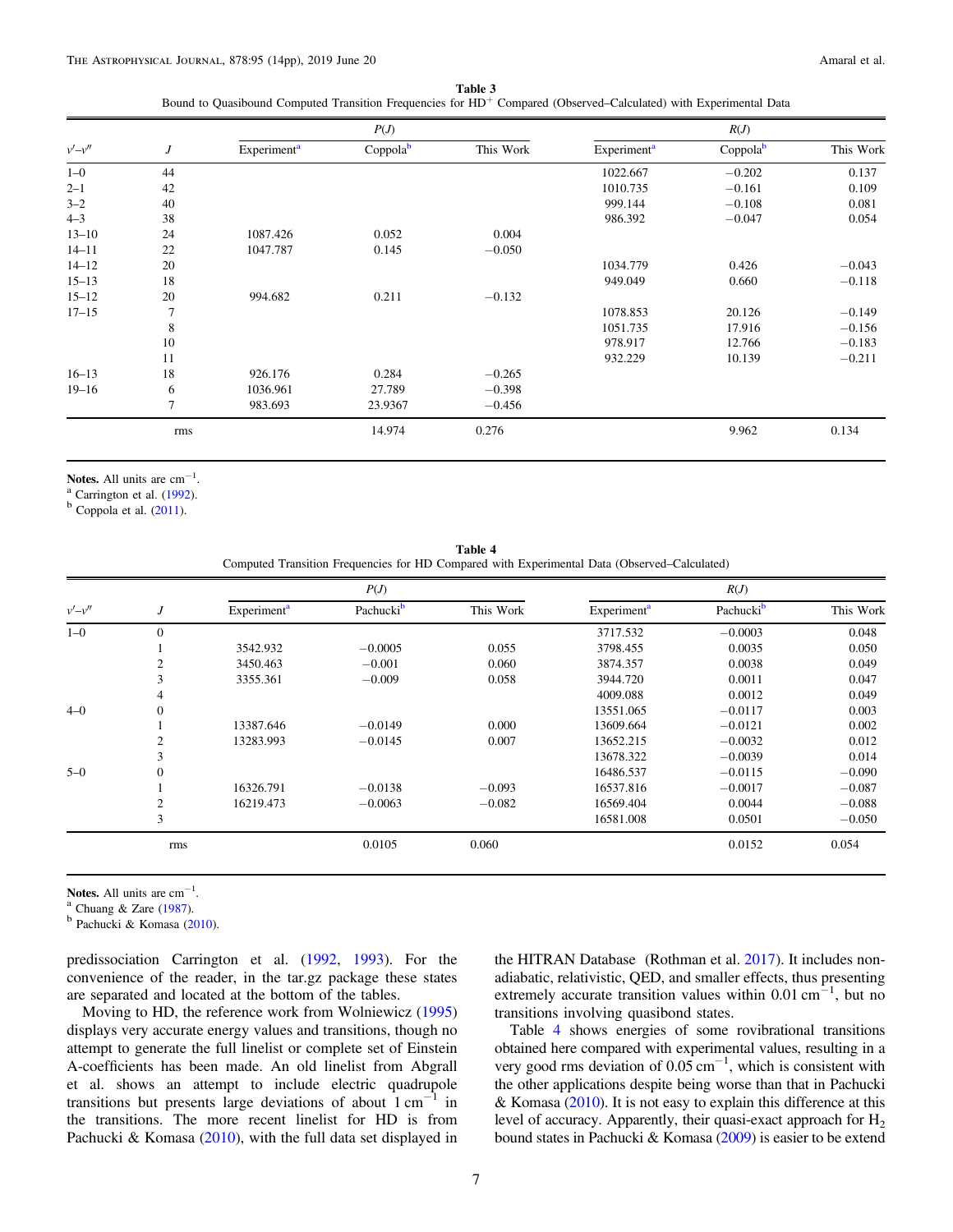Table 3 Bound to Quasibound Computed Transition Frequencies for HD<sup>+</sup> Compared (Observed–Calculated) with Experimental Data

<span id="page-6-0"></span>

|           |                  |                         | P(J)     |           |                         | R(J)                 |           |
|-----------|------------------|-------------------------|----------|-----------|-------------------------|----------------------|-----------|
| $v'-v''$  | $\boldsymbol{J}$ | Experiment <sup>a</sup> | Coppolab | This Work | Experiment <sup>a</sup> | Coppola <sup>b</sup> | This Work |
| $1 - 0$   | 44               |                         |          |           | 1022.667                | $-0.202$             | 0.137     |
| $2 - 1$   | 42               |                         |          |           | 1010.735                | $-0.161$             | 0.109     |
| $3 - 2$   | 40               |                         |          |           | 999.144                 | $-0.108$             | 0.081     |
| $4 - 3$   | 38               |                         |          |           | 986.392                 | $-0.047$             | 0.054     |
| $13 - 10$ | 24               | 1087.426                | 0.052    | 0.004     |                         |                      |           |
| $14 - 11$ | 22               | 1047.787                | 0.145    | $-0.050$  |                         |                      |           |
| $14 - 12$ | 20               |                         |          |           | 1034.779                | 0.426                | $-0.043$  |
| $15 - 13$ | 18               |                         |          |           | 949.049                 | 0.660                | $-0.118$  |
| $15 - 12$ | 20               | 994.682                 | 0.211    | $-0.132$  |                         |                      |           |
| $17 - 15$ | 7                |                         |          |           | 1078.853                | 20.126               | $-0.149$  |
|           | 8                |                         |          |           | 1051.735                | 17.916               | $-0.156$  |
|           | 10               |                         |          |           | 978.917                 | 12.766               | $-0.183$  |
|           | 11               |                         |          |           | 932.229                 | 10.139               | $-0.211$  |
| $16 - 13$ | 18               | 926.176                 | 0.284    | $-0.265$  |                         |                      |           |
| $19 - 16$ | 6                | 1036.961                | 27.789   | $-0.398$  |                         |                      |           |
|           | 7                | 983.693                 | 23.9367  | $-0.456$  |                         |                      |           |
|           | rms              |                         | 14.974   | 0.276     |                         | 9.962                | 0.134     |

Notes. All units are  $cm^{-1}$ .

<sup>a</sup> Carrington et al. ([1992](#page-12-0)).<br><sup>b</sup> Coppola et al. ([2011](#page-12-0)).

Table 4 Computed Transition Frequencies for HD Compared with Experimental Data (Observed–Calculated)

|          |                |                         | P(J)                  |           | R(J)                    |                       |           |  |  |
|----------|----------------|-------------------------|-----------------------|-----------|-------------------------|-----------------------|-----------|--|--|
| $v'-v''$ | J              | Experiment <sup>a</sup> | Pachucki <sup>b</sup> | This Work | Experiment <sup>a</sup> | Pachucki <sup>b</sup> | This Work |  |  |
| $1 - 0$  | $\overline{0}$ |                         |                       |           | 3717.532                | $-0.0003$             | 0.048     |  |  |
|          |                | 3542.932                | $-0.0005$             | 0.055     | 3798.455                | 0.0035                | 0.050     |  |  |
|          | 2              | 3450.463                | $-0.001$              | 0.060     | 3874.357                | 0.0038                | 0.049     |  |  |
|          | 3              | 3355.361                | $-0.009$              | 0.058     | 3944.720                | 0.0011                | 0.047     |  |  |
|          | 4              |                         |                       |           | 4009.088                | 0.0012                | 0.049     |  |  |
| $4 - 0$  | $\overline{0}$ |                         |                       |           | 13551.065               | $-0.0117$             | 0.003     |  |  |
|          |                | 13387.646               | $-0.0149$             | 0.000     | 13609.664               | $-0.0121$             | 0.002     |  |  |
|          | $\overline{2}$ | 13283.993               | $-0.0145$             | 0.007     | 13652.215               | $-0.0032$             | 0.012     |  |  |
|          | 3              |                         |                       |           | 13678.322               | $-0.0039$             | 0.014     |  |  |
| $5-0$    | $\overline{0}$ |                         |                       |           | 16486.537               | $-0.0115$             | $-0.090$  |  |  |
|          |                | 16326.791               | $-0.0138$             | $-0.093$  | 16537.816               | $-0.0017$             | $-0.087$  |  |  |
|          | 2              | 16219.473               | $-0.0063$             | $-0.082$  | 16569.404               | 0.0044                | $-0.088$  |  |  |
|          | 3              |                         |                       |           | 16581.008               | 0.0501                | $-0.050$  |  |  |
|          | rms            |                         | 0.0105                | 0.060     |                         | 0.0152                | 0.054     |  |  |
|          |                |                         |                       |           |                         |                       |           |  |  |

Notes. All units are  $cm^{-1}$ .

<sup>a</sup> Chuang & Zare ([1987](#page-12-0)).<br><sup>b</sup> Pachucki & Komasa ([2010](#page-13-0)).

predissociation Carrington et al. ([1992,](#page-12-0) [1993](#page-12-0)). For the convenience of the reader, in the tar.gz package these states are separated and located at the bottom of the tables.

Moving to HD, the reference work from Wolniewicz ([1995](#page-13-0)) displays very accurate energy values and transitions, though no attempt to generate the full linelist or complete set of Einstein A-coefficients has been made. An old linelist from Abgrall et al. shows an attempt to include electric quadrupole transitions but presents large deviations of about  $1 \text{ cm}^{-1}$  in the transitions. The more recent linelist for HD is from Pachucki & Komasa  $(2010)$  $(2010)$  $(2010)$ , with the full data set displayed in

the HITRAN Database (Rothman et al. [2017](#page-13-0)). It includes nonadiabatic, relativistic, QED, and smaller effects, thus presenting extremely accurate transition values within  $0.01 \text{ cm}^{-1}$ , but no transitions involving quasibond states.

Table 4 shows energies of some rovibrational transitions obtained here compared with experimental values, resulting in a very good rms deviation of 0.05 cm−<sup>1</sup> , which is consistent with the other applications despite being worse than that in Pachucki & Komasa  $(2010)$  $(2010)$  $(2010)$ . It is not easy to explain this difference at this level of accuracy. Apparently, their quasi-exact approach for  $H_2$ bound states in Pachucki & Komasa ([2009](#page-13-0)) is easier to be extend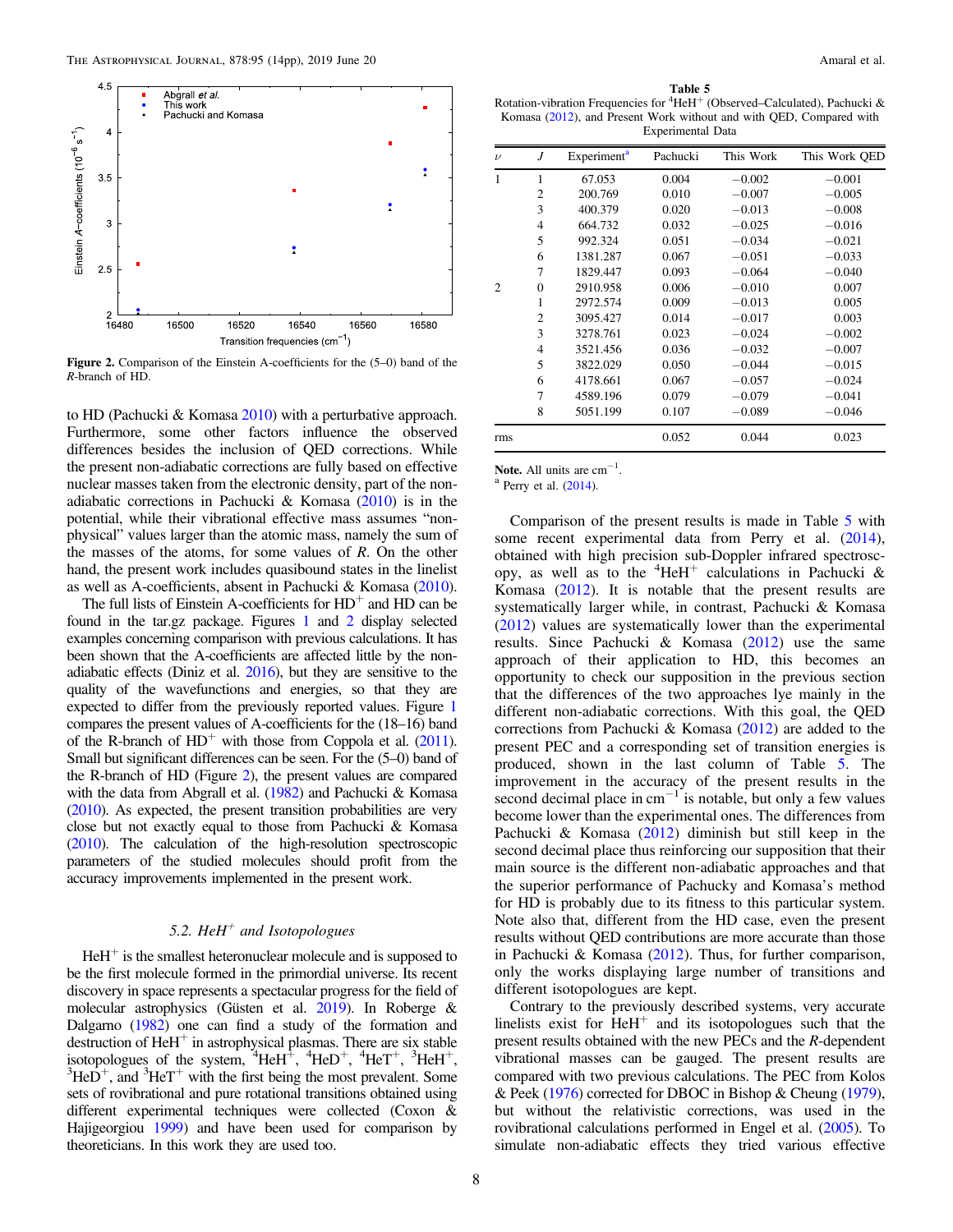

Figure 2. Comparison of the Einstein A-coefficients for the (5–0) band of the R-branch of HD.

to HD (Pachucki & Komasa [2010](#page-13-0)) with a perturbative approach. Furthermore, some other factors influence the observed differences besides the inclusion of QED corrections. While the present non-adiabatic corrections are fully based on effective nuclear masses taken from the electronic density, part of the nonadiabatic corrections in Pachucki & Komasa ([2010](#page-13-0)) is in the potential, while their vibrational effective mass assumes "nonphysical" values larger than the atomic mass, namely the sum of the masses of the atoms, for some values of  $R$ . On the other hand, the present work includes quasibound states in the linelist as well as A-coefficients, absent in Pachucki & Komasa ([2010](#page-13-0)).

The full lists of Einstein A-coefficients for  $HD^+$  and  $HD$  can be found in the tar.gz package. Figures [1](#page-3-0) and 2 display selected examples concerning comparison with previous calculations. It has been shown that the A-coefficients are affected little by the nonadiabatic effects (Diniz et al.  $2016$ ), but they are sensitive to the quality of the wavefunctions and energies, so that they are expected to differ from the previously reported values. Figure [1](#page-3-0) compares the present values of A-coefficients for the (18–16) band of the R-branch of  $HD^+$  with those from Coppola et al. ([2011](#page-12-0)). Small but significant differences can be seen. For the (5–0) band of the R-branch of HD (Figure 2), the present values are compared with the data from Abgrall et al. ([1982](#page-12-0)) and Pachucki & Komasa ([2010](#page-13-0)). As expected, the present transition probabilities are very close but not exactly equal to those from Pachucki & Komasa ([2010](#page-13-0)). The calculation of the high-resolution spectroscopic parameters of the studied molecules should profit from the accuracy improvements implemented in the present work.

#### 5.2. HeH<sup>+</sup> and Isotopologues

 $HeH<sup>+</sup>$  is the smallest heteronuclear molecule and is supposed to be the first molecule formed in the primordial universe. Its recent discovery in space represents a spectacular progress for the field of molecular astrophysics (Güsten et al. [2019](#page-13-0)). In Roberge & Dalgarno ([1982](#page-13-0)) one can find a study of the formation and destruction of  $HeH^+$  in astrophysical plasmas. There are six stable isotopologues of the system,  ${}^{4}$ HeH<sup>+</sup>,  ${}^{4}$ HeD<sup>+</sup>,  ${}^{4}$ HeT<sup>+</sup>,  ${}^{3}$ HeH<sup>+</sup>,  ${}^{3}$ HeH<sup>+</sup>,  ${}^{3}$ HeH<sup>+</sup>,  ${}^{3}$ HeH<sup>+</sup>,  ${}^{3}$ HeH<sup>+</sup>,  ${}^{3}$ HeH<sup>+</sup>,  ${}^{3}$ HeH<sup>+</sup>,  ${}^{3}$ HeH<sup>+</sup>,  ${}^{3}$ HeH<sup>+</sup>,  ${}^{3}$ HeH<sup>+</sup>,  ${}^{3}$ HeH<sup></sup>  $HeD^{+}$ , and  ${}^{3}HeT^{+}$  with the first being the most prevalent. Some sets of rovibrational and pure rotational transitions obtained using different experimental techniques were collected (Coxon & Hajigeorgiou [1999](#page-12-0)) and have been used for comparison by theoreticians. In this work they are used too.

Table 5 Rotation-vibration Frequencies for <sup>4</sup>HeH<sup>+</sup> (Observed–Calculated), Pachucki & Komasa ([2012](#page-13-0)), and Present Work without and with QED, Compared with Experimental Data

| $\nu$          | J              | Experiment <sup>a</sup> | Pachucki | This Work | This Work QED |
|----------------|----------------|-------------------------|----------|-----------|---------------|
| 1              | 1              | 67.053                  | 0.004    | $-0.002$  | $-0.001$      |
|                | 2              | 200.769                 | 0.010    | $-0.007$  | $-0.005$      |
|                | 3              | 400.379                 | 0.020    | $-0.013$  | $-0.008$      |
|                | $\overline{4}$ | 664.732                 | 0.032    | $-0.025$  | $-0.016$      |
|                | 5              | 992.324                 | 0.051    | $-0.034$  | $-0.021$      |
|                | 6              | 1381.287                | 0.067    | $-0.051$  | $-0.033$      |
|                | 7              | 1829.447                | 0.093    | $-0.064$  | $-0.040$      |
| $\mathfrak{D}$ | $\Omega$       | 2910.958                | 0.006    | $-0.010$  | 0.007         |
|                | 1              | 2972.574                | 0.009    | $-0.013$  | 0.005         |
|                | $\overline{c}$ | 3095.427                | 0.014    | $-0.017$  | 0.003         |
|                | 3              | 3278.761                | 0.023    | $-0.024$  | $-0.002$      |
|                | $\overline{4}$ | 3521.456                | 0.036    | $-0.032$  | $-0.007$      |
|                | 5              | 3822.029                | 0.050    | $-0.044$  | $-0.015$      |
|                | 6              | 4178.661                | 0.067    | $-0.057$  | $-0.024$      |
|                | 7              | 4589.196                | 0.079    | $-0.079$  | $-0.041$      |
|                | 8              | 5051.199                | 0.107    | $-0.089$  | $-0.046$      |
| rms            |                |                         | 0.052    | 0.044     | 0.023         |

Note. All units are  $cm^{-1}$ .

 $^{\circ}$  Perry et al. ([2014](#page-13-0)).

Comparison of the present results is made in Table 5 with some recent experimental data from Perry et al. ([2014](#page-13-0)), obtained with high precision sub-Doppler infrared spectroscopy, as well as to the  ${}^{4}$ HeH<sup>+</sup> calculations in Pachucki & Komasa ([2012](#page-13-0)). It is notable that the present results are systematically larger while, in contrast, Pachucki & Komasa ([2012](#page-13-0)) values are systematically lower than the experimental results. Since Pachucki & Komasa ([2012](#page-13-0)) use the same approach of their application to HD, this becomes an opportunity to check our supposition in the previous section that the differences of the two approaches lye mainly in the different non-adiabatic corrections. With this goal, the QED corrections from Pachucki & Komasa ([2012](#page-13-0)) are added to the present PEC and a corresponding set of transition energies is produced, shown in the last column of Table 5. The improvement in the accuracy of the present results in the second decimal place in  $cm^{-1}$  is notable, but only a few values become lower than the experimental ones. The differences from Pachucki & Komasa  $(2012)$  $(2012)$  $(2012)$  diminish but still keep in the second decimal place thus reinforcing our supposition that their main source is the different non-adiabatic approaches and that the superior performance of Pachucky and Komasa's method for HD is probably due to its fitness to this particular system. Note also that, different from the HD case, even the present results without QED contributions are more accurate than those in Pachucki & Komasa  $(2012)$  $(2012)$  $(2012)$ . Thus, for further comparison, only the works displaying large number of transitions and different isotopologues are kept.

Contrary to the previously described systems, very accurate linelists exist for  $HeH<sup>+</sup>$  and its isotopologues such that the present results obtained with the new PECs and the R-dependent vibrational masses can be gauged. The present results are compared with two previous calculations. The PEC from Kolos & Peek ([1976](#page-13-0)) corrected for DBOC in Bishop & Cheung ([1979](#page-12-0)), but without the relativistic corrections, was used in the rovibrational calculations performed in Engel et al. ([2005](#page-13-0)). To simulate non-adiabatic effects they tried various effective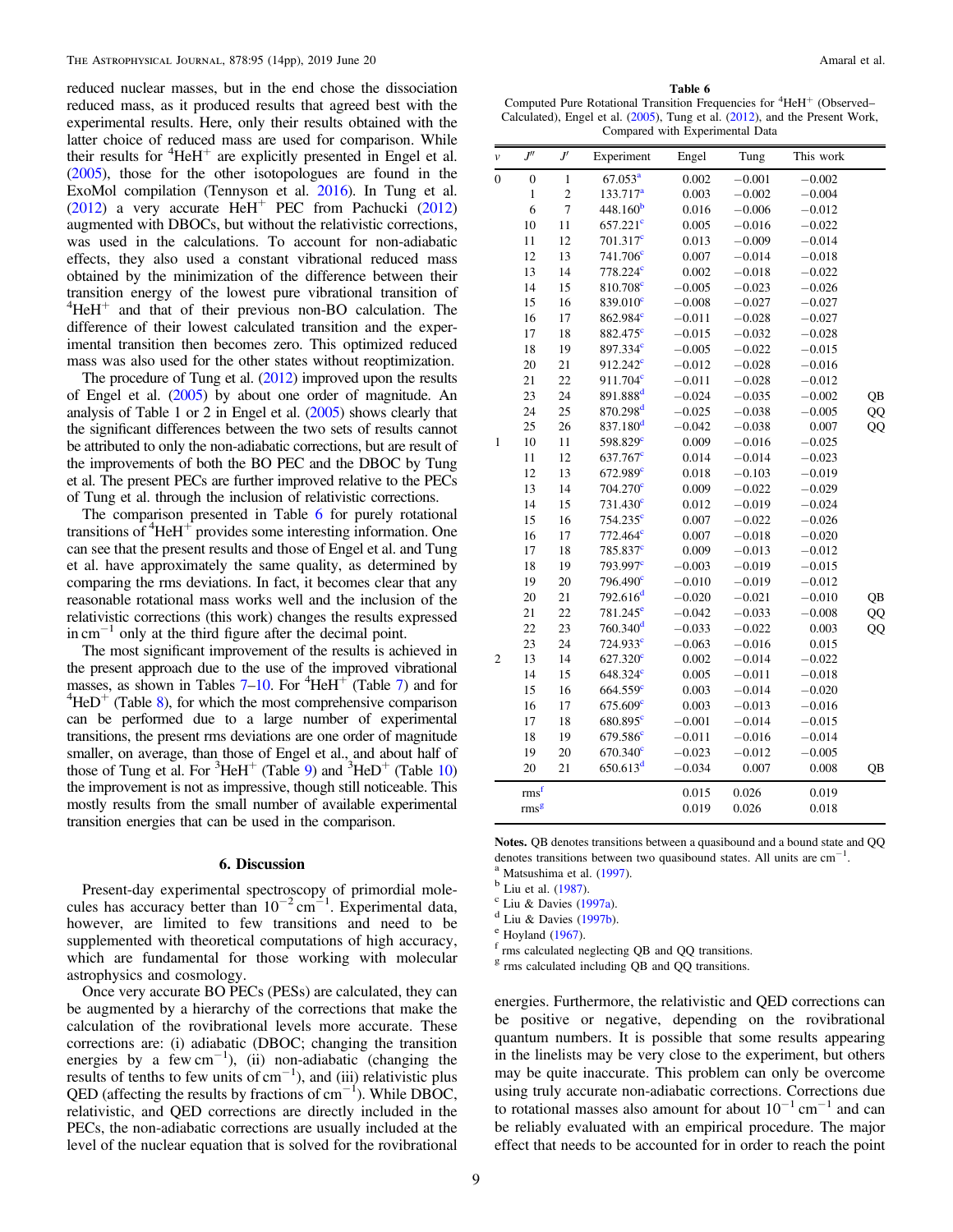reduced nuclear masses, but in the end chose the dissociation reduced mass, as it produced results that agreed best with the experimental results. Here, only their results obtained with the latter choice of reduced mass are used for comparison. While their results for  ${}^{4}$ HeH<sup>+</sup> are explicitly presented in Engel et al. ([2005](#page-13-0)), those for the other isotopologues are found in the ExoMol compilation (Tennyson et al. [2016](#page-13-0)). In Tung et al. ([2012](#page-13-0)) a very accurate  $HeH^+$  PEC from Pachucki (2012) augmented with DBOCs, but without the relativistic corrections, was used in the calculations. To account for non-adiabatic effects, they also used a constant vibrational reduced mass obtained by the minimization of the difference between their transition energy of the lowest pure vibrational transition of  $4\text{HeH}^+$  and that of their previous non-BO calculation. The difference of their lowest calculated transition and the experimental transition then becomes zero. This optimized reduced mass was also used for the other states without reoptimization.

The procedure of Tung et al. ([2012](#page-13-0)) improved upon the results of Engel et al. ([2005](#page-13-0)) by about one order of magnitude. An analysis of Table 1 or 2 in Engel et al. ([2005](#page-13-0)) shows clearly that the significant differences between the two sets of results cannot be attributed to only the non-adiabatic corrections, but are result of the improvements of both the BO PEC and the DBOC by Tung et al. The present PECs are further improved relative to the PECs of Tung et al. through the inclusion of relativistic corrections.

The comparison presented in Table 6 for purely rotational transitions of  $4\text{HeH}^+$  provides some interesting information. One can see that the present results and those of Engel et al. and Tung et al. have approximately the same quality, as determined by comparing the rms deviations. In fact, it becomes clear that any reasonable rotational mass works well and the inclusion of the relativistic corrections (this work) changes the results expressed  $\text{in cm}^{-1}$  only at the third figure after the decimal point.

The most significant improvement of the results is achieved in the present approach due to the use of the improved vibrational masses, as shown in Tables [7](#page-9-0)–[10.](#page-11-0) For  $^{4}$ HeH<sup>+</sup> (Table 7) and for  $^{4}$ HeD<sup>+</sup> (Table 8) for which the most comprehensive comparison  $^{4}$ HeD<sup>+</sup> (Table [8](#page-10-0)), for which the most comprehensive comparison can be performed due to a large number of experimental transitions, the present rms deviations are one order of magnitude smaller, on average, than those of Engel et al., and about half of those of Tung et al. For  $3\text{HeH}^+$  (Table [9](#page-10-0)) and  $3\text{HeD}^+$  (Table [10](#page-11-0)) the improvement is not as impressive, though still noticeable. This mostly results from the small number of available experimental transition energies that can be used in the comparison.

#### 6. Discussion

Present-day experimental spectroscopy of primordial molecules has accuracy better than  $10^{-2}$  cm<sup>-1</sup>. Experimental data, however, are limited to few transitions and need to be supplemented with theoretical computations of high accuracy, which are fundamental for those working with molecular astrophysics and cosmology.

Once very accurate BO PECs (PESs) are calculated, they can be augmented by a hierarchy of the corrections that make the calculation of the rovibrational levels more accurate. These corrections are: (i) adiabatic (DBOC; changing the transition energies by a  $f^{-1}$ , (ii) non-adiabatic (changing the results of tenths to few units of  $cm^{-1}$ ), and (iii) relativistic plus QED (affecting the results by fractions of cm<sup>-1</sup>). While DBOC, relativistic, and QED corrections are directly included in the PECs, the non-adiabatic corrections are usually included at the level of the nuclear equation that is solved for the rovibrational

Table 6 Computed Pure Rotational Transition Frequencies for <sup>4</sup>HeH<sup>+</sup> (Observed– Calculated), Engel et al. ([2005](#page-13-0)), Tung et al. ([2012](#page-13-0)), and the Present Work, Compared with Experimental Data

| $\mathcal V$     | $J^{\prime\prime}$ | $J^\prime$      | Experiment             | Engel    | Tung     | This work |    |
|------------------|--------------------|-----------------|------------------------|----------|----------|-----------|----|
| $\boldsymbol{0}$ | $\boldsymbol{0}$   | $\mathbf{1}$    | 67.053 <sup>a</sup>    | 0.002    | $-0.001$ | $-0.002$  |    |
|                  | $\,1$              | $\overline{c}$  | 133.717 <sup>a</sup>   | 0.003    | $-0.002$ | $-0.004$  |    |
|                  | 6                  | $\overline{7}$  | 448.160 <sup>b</sup>   | 0.016    | $-0.006$ | $-0.012$  |    |
|                  | 10                 | 11              | $657.221$ <sup>c</sup> | 0.005    | $-0.016$ | $-0.022$  |    |
|                  | $11\,$             | 12              | $701.317$ <sup>c</sup> | 0.013    | $-0.009$ | $-0.014$  |    |
|                  | 12                 | 13              | $741.706$ <sup>c</sup> | 0.007    | $-0.014$ | $-0.018$  |    |
|                  | 13                 | 14              | 778.224 <sup>c</sup>   | 0.002    | $-0.018$ | $-0.022$  |    |
|                  | 14                 | 15              | 810.708 <sup>c</sup>   | $-0.005$ | $-0.023$ | $-0.026$  |    |
|                  | 15                 | 16              | 839.010 <sup>c</sup>   | $-0.008$ | $-0.027$ | $-0.027$  |    |
|                  | 16                 | 17              | 862.984 <sup>e</sup>   | $-0.011$ | $-0.028$ | $-0.027$  |    |
|                  | 17                 | 18              | 882.475 <sup>c</sup>   | $-0.015$ | $-0.032$ | $-0.028$  |    |
|                  | 18                 | 19              | 897.334 <sup>c</sup>   | $-0.005$ | $-0.022$ | $-0.015$  |    |
|                  | 20                 | $\overline{21}$ | 912.242 <sup>c</sup>   | $-0.012$ | $-0.028$ | $-0.016$  |    |
|                  | 21                 | 22              | 911.704 <sup>c</sup>   | $-0.011$ | $-0.028$ | $-0.012$  |    |
|                  | 23                 | 24              | 891.888 <sup>d</sup>   | $-0.024$ | $-0.035$ | $-0.002$  | QB |
|                  | 24                 | 25              | 870.298 <sup>d</sup>   | $-0.025$ | $-0.038$ | $-0.005$  | QQ |
|                  | 25                 | 26              | $837.180^d$            | $-0.042$ | $-0.038$ | 0.007     | QQ |
| $\mathbf{1}$     | 10                 | 11              | 598.829 <sup>c</sup>   | 0.009    | $-0.016$ | $-0.025$  |    |
|                  | $11\,$             | 12              | 637.767 <sup>c</sup>   | 0.014    | $-0.014$ | $-0.023$  |    |
|                  | 12                 | 13              | $672.989$ <sup>c</sup> | 0.018    | $-0.103$ | $-0.019$  |    |
|                  | 13                 | 14              | $704.270$ <sup>c</sup> | 0.009    | $-0.022$ | $-0.029$  |    |
|                  | 14                 | 15              | $731.430^{\circ}$      | 0.012    | $-0.019$ | $-0.024$  |    |
|                  | 15                 | 16              | $754.235^{\circ}$      | 0.007    | $-0.022$ | $-0.026$  |    |
|                  | 16                 | 17              | $772.464^c$            | 0.007    | $-0.018$ | $-0.020$  |    |
|                  | 17                 | 18              | 785.837 <sup>c</sup>   | 0.009    | $-0.013$ | $-0.012$  |    |
|                  | 18                 | 19              | 793.997 <sup>c</sup>   | $-0.003$ | $-0.019$ | $-0.015$  |    |
|                  | 19                 | 20              | $796.490^{\circ}$      | $-0.010$ | $-0.019$ | $-0.012$  |    |
|                  | 20                 | 21              | $792.616$ <sup>d</sup> | $-0.020$ | $-0.021$ | $-0.010$  | QB |
|                  | 21                 | 22              | $781.245^{\circ}$      | $-0.042$ | $-0.033$ | $-0.008$  | QQ |
|                  | 22                 | 23              | $760.340$ <sup>d</sup> | $-0.033$ | $-0.022$ | 0.003     | QQ |
|                  | 23                 | 24              | 724.933c               | $-0.063$ | $-0.016$ | 0.015     |    |
| $\mathfrak{2}$   | 13                 | 14              | $627.320^{\circ}$      | 0.002    | $-0.014$ | $-0.022$  |    |
|                  | 14                 | 15              | $648.324^{\circ}$      | 0.005    | $-0.011$ | $-0.018$  |    |
|                  | 15                 | 16              | $664.559$ <sup>c</sup> | 0.003    | $-0.014$ | $-0.020$  |    |
|                  | 16                 | 17              | $675.609^{\circ}$      | 0.003    | $-0.013$ | $-0.016$  |    |
|                  | 17                 | 18              | 680.895 <sup>c</sup>   | $-0.001$ | $-0.014$ | $-0.015$  |    |
|                  | 18                 | 19              | 679.586 <sup>c</sup>   | $-0.011$ | $-0.016$ | $-0.014$  |    |
|                  | 19                 | 20              | $670.340^{\circ}$      | $-0.023$ | $-0.012$ | $-0.005$  |    |
|                  | 20                 | 21              | 650.613 <sup>d</sup>   | $-0.034$ | 0.007    | 0.008     | QB |
|                  | rms <sup>f</sup>   |                 |                        | 0.015    | 0.026    | 0.019     |    |
|                  | rms <sup>g</sup>   |                 |                        | 0.019    | 0.026    | 0.018     |    |

Notes. QB denotes transitions between a quasibound and a bound state and QQ denotes transitions between two quasibound states. All units are  $cm^{-1}$ .

<sup>a</sup> Matsushima et al. ([1997](#page-13-0)).<br><sup>b</sup> Liu et al. ([1987](#page-13-0)).<br>c Liu & Davies ([1997a](#page-13-0)).<br>d Liu & Davies ([1997b](#page-13-0)).<br>e Hoyland ([1967](#page-13-0)).<br>f rms calculated neglecting QB and QQ transitions.

 $g$  rms calculated including QB and QQ transitions.

energies. Furthermore, the relativistic and QED corrections can be positive or negative, depending on the rovibrational quantum numbers. It is possible that some results appearing in the linelists may be very close to the experiment, but others may be quite inaccurate. This problem can only be overcome using truly accurate non-adiabatic corrections. Corrections due to rotational masses also amount for about  $10^{-1}$  cm<sup>-1</sup> and can be reliably evaluated with an empirical procedure. The major effect that needs to be accounted for in order to reach the point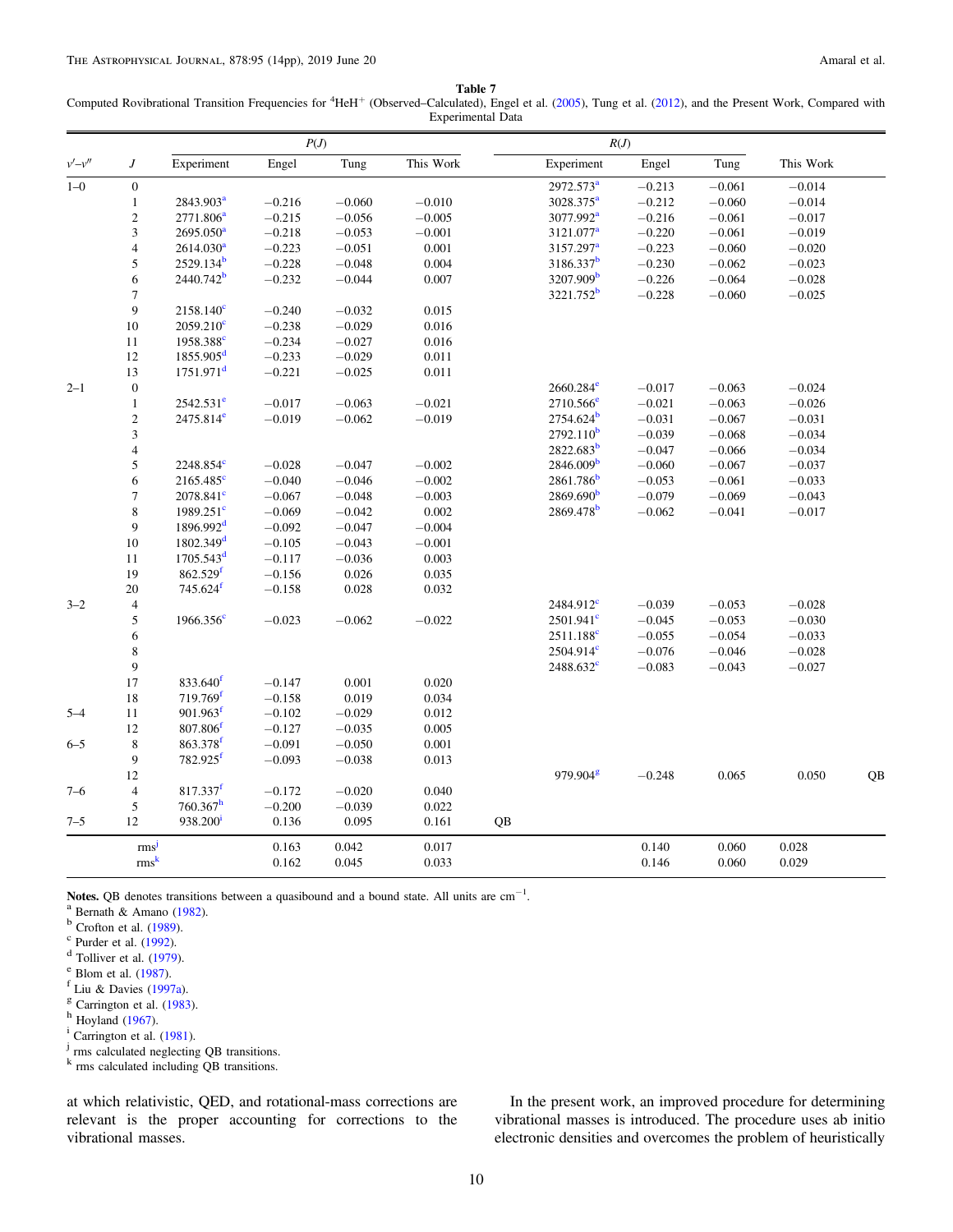Table 7

<span id="page-9-0"></span>Computed Rovibrational Transition Frequencies for <sup>4</sup>HeH<sup>+</sup> (Observed–Calculated), Engel et al. ([2005](#page-13-0)), Tung et al. ([2012](#page-13-0)), and the Present Work, Compared with Experimental Data

|          |                          |                         | P(J)     |          |           |    |                                       | R(J)                 |          |           |    |
|----------|--------------------------|-------------------------|----------|----------|-----------|----|---------------------------------------|----------------------|----------|-----------|----|
| $v'-v''$ | $\boldsymbol{J}$         | Experiment              | Engel    | Tung     | This Work |    | Experiment                            | Engel                | Tung     | This Work |    |
| $1 - 0$  | $\boldsymbol{0}$         |                         |          |          |           |    | 2972.573 <sup>a</sup>                 | $-0.213$             | $-0.061$ | $-0.014$  |    |
|          | $\mathbf 1$              | 2843.903 <sup>a</sup>   | $-0.216$ | $-0.060$ | $-0.010$  |    | 3028.375 <sup>a</sup>                 | $-0.212$             | $-0.060$ | $-0.014$  |    |
|          | $\mathfrak{2}$           | 2771.806 <sup>a</sup>   | $-0.215$ | $-0.056$ | $-0.005$  |    | 3077.992 <sup>a</sup>                 | $-0.216$             | $-0.061$ | $-0.017$  |    |
|          | 3                        | 2695.050 <sup>a</sup>   | $-0.218$ | $-0.053$ | $-0.001$  |    | 3121.077 <sup>a</sup>                 | $-0.220$             | $-0.061$ | $-0.019$  |    |
|          | $\overline{\mathbf{4}}$  | 2614.030 <sup>a</sup>   | $-0.223$ | $-0.051$ | $0.001\,$ |    | 3157.297 <sup>a</sup>                 | $-0.223$             | $-0.060$ | $-0.020$  |    |
|          | 5                        | 2529.134 <sup>b</sup>   | $-0.228$ | $-0.048$ | 0.004     |    | 3186.337 <sup>b</sup>                 | $-0.230$             | $-0.062$ | $-0.023$  |    |
|          | 6                        | $2440.742^b$            | $-0.232$ | $-0.044$ | 0.007     |    | 3207.909 <sup>b</sup>                 | $-0.226$             | $-0.064$ | $-0.028$  |    |
|          | $\tau$                   |                         |          |          |           |    | 3221.752 <sup>b</sup>                 | $-0.228$             | $-0.060$ | $-0.025$  |    |
|          | 9                        | $2158.140^{\circ}$      | $-0.240$ | $-0.032$ | 0.015     |    |                                       |                      |          |           |    |
|          | $10\,$                   | $2059.210^{\circ}$      | $-0.238$ | $-0.029$ | 0.016     |    |                                       |                      |          |           |    |
|          | 11                       | 1958.388 <sup>e</sup>   | $-0.234$ | $-0.027$ | 0.016     |    |                                       |                      |          |           |    |
|          | 12                       | $1855.905^d$            | $-0.233$ | $-0.029$ | 0.011     |    |                                       |                      |          |           |    |
|          | 13                       | $1751.971^d$            | $-0.221$ | $-0.025$ | 0.011     |    |                                       |                      |          |           |    |
| $2 - 1$  | $\boldsymbol{0}$         |                         |          |          |           |    | $2660.284^{\circ}$                    | $-0.017$             | $-0.063$ | $-0.024$  |    |
|          | $\mathbf{1}$             | $2542.531^e$            | $-0.017$ | $-0.063$ | $-0.021$  |    | $2710.566$ <sup>e</sup>               | $-0.021$             | $-0.063$ | $-0.026$  |    |
|          | $\sqrt{2}$               | $2475.814^e$            | $-0.019$ | $-0.062$ | $-0.019$  |    | $2754.624^b$                          | $-0.031$             | $-0.067$ | $-0.031$  |    |
|          | 3                        |                         |          |          |           |    | 2792.110 <sup>b</sup>                 | $-0.039$             | $-0.068$ | $-0.034$  |    |
|          | $\overline{\mathbf{4}}$  |                         |          |          |           |    | 2822.683 <sup>b</sup>                 | $-0.047$             | $-0.066$ | $-0.034$  |    |
|          | 5                        | 2248.854 <sup>c</sup>   | $-0.028$ | $-0.047$ | $-0.002$  |    | 2846.009 <sup>b</sup>                 | $-0.060$             | $-0.067$ | $-0.037$  |    |
|          | 6                        | $2165.485^{\circ}$      | $-0.040$ | $-0.046$ | $-0.002$  |    | $2861.786$ <sup>b</sup>               | $-0.053$             | $-0.061$ | $-0.033$  |    |
|          | $\tau$                   | $2078.841^{\circ}$      | $-0.067$ | $-0.048$ | $-0.003$  |    | 2869.690 <sup>b</sup>                 | $-0.079$             | $-0.069$ | $-0.043$  |    |
|          | 8                        | $1989.251$ <sup>c</sup> | $-0.069$ | $-0.042$ | 0.002     |    | 2869.478 <sup>b</sup>                 | $-0.062$             | $-0.041$ | $-0.017$  |    |
|          | 9                        | $1896.992^d$            | $-0.092$ | $-0.047$ | $-0.004$  |    |                                       |                      |          |           |    |
|          | 10                       | 1802.349 <sup>d</sup>   | $-0.105$ | $-0.043$ | $-0.001$  |    |                                       |                      |          |           |    |
|          | 11                       | $1705.543^d$            | $-0.117$ | $-0.036$ | 0.003     |    |                                       |                      |          |           |    |
|          | 19                       | 862.529 <sup>f</sup>    | $-0.156$ | 0.026    | 0.035     |    |                                       |                      |          |           |    |
|          | $20\,$                   | $745.624$ <sup>f</sup>  | $-0.158$ | 0.028    | 0.032     |    |                                       |                      |          |           |    |
| $3 - 2$  | $\overline{4}$           |                         |          |          |           |    | 2484.912 <sup>c</sup>                 | $-0.039$             | $-0.053$ | $-0.028$  |    |
|          | 5                        | $1966.356^{\circ}$      | $-0.023$ | $-0.062$ | $-0.022$  |    | $2501.941^{\circ}$                    | $-0.045$             | $-0.053$ | $-0.030$  |    |
|          |                          |                         |          |          |           |    |                                       |                      |          |           |    |
|          | 6                        |                         |          |          |           |    | $2511.188^c$<br>2504.914 <sup>c</sup> | $-0.055$<br>$-0.076$ | $-0.054$ | $-0.033$  |    |
|          | 8<br>9                   |                         |          |          |           |    |                                       |                      | $-0.046$ | $-0.028$  |    |
|          |                          | 833.640 <sup>f</sup>    |          |          |           |    | $2488.632^{\circ}$                    | $-0.083$             | $-0.043$ | $-0.027$  |    |
|          | 17                       | $719.769$ <sup>f</sup>  | $-0.147$ | 0.001    | 0.020     |    |                                       |                      |          |           |    |
|          | 18                       | $901.963^{\mathrm{f}}$  | $-0.158$ | 0.019    | 0.034     |    |                                       |                      |          |           |    |
| $5 - 4$  | 11                       |                         | $-0.102$ | $-0.029$ | 0.012     |    |                                       |                      |          |           |    |
|          | 12                       | $807.806$ <sup>f</sup>  | $-0.127$ | $-0.035$ | 0.005     |    |                                       |                      |          |           |    |
| $6 - 5$  | $\,$ 8 $\,$              | 863.378 <sup>f</sup>    | $-0.091$ | $-0.050$ | 0.001     |    |                                       |                      |          |           |    |
|          | 9                        | 782.925f                | $-0.093$ | $-0.038$ | 0.013     |    |                                       |                      |          |           |    |
|          | 12                       |                         |          |          |           |    | $979.904^8$                           | $-0.248$             | 0.065    | 0.050     | QB |
| $7 - 6$  | $\overline{\mathcal{L}}$ | 817.337 <sup>f</sup>    | $-0.172$ | $-0.020$ | 0.040     |    |                                       |                      |          |           |    |
|          | 5                        | 760.367 <sup>h</sup>    | $-0.200$ | $-0.039$ | 0.022     |    |                                       |                      |          |           |    |
| $7 - 5$  | 12                       | 938.200 <sup>i</sup>    | 0.136    | 0.095    | 0.161     | QB |                                       |                      |          |           |    |
|          | rms <sup>j</sup>         |                         | 0.163    | 0.042    | 0.017     |    |                                       | 0.140                | 0.060    | 0.028     |    |
|          | rms <sup>k</sup>         |                         | 0.162    | 0.045    | 0.033     |    |                                       | 0.146                | 0.060    | 0.029     |    |

**Notes.** QB denotes transitions between a quasibound and a bound state. All units are cm<sup>-1</sup>. <sup>a</sup> Bernath & Amano (1982). **Notes.** QB denotes transitions between a quasibound and a bound state. All units are cm<sup>-1</sup>.<br>
<sup>a</sup> Bernath & Amano ([1982](#page-12-0)).<br>
<sup>c</sup> Purder et al. (1999).<br>
<sup>e</sup> Purder et al. ([1992](#page-13-0)).<br>
<sup>F</sup> Blom et al. ([1987](#page-12-0)).<br>
<sup>F</sup> Liu & Davies (

 $\frac{1}{2}$  Carrington et al. ([1981](#page-12-0)).

<sup>j</sup> rms calculated neglecting QB transitions.

<sup>k</sup> rms calculated including QB transitions.

at which relativistic, QED, and rotational-mass corrections are relevant is the proper accounting for corrections to the vibrational masses.

In the present work, an improved procedure for determining vibrational masses is introduced. The procedure uses ab initio electronic densities and overcomes the problem of heuristically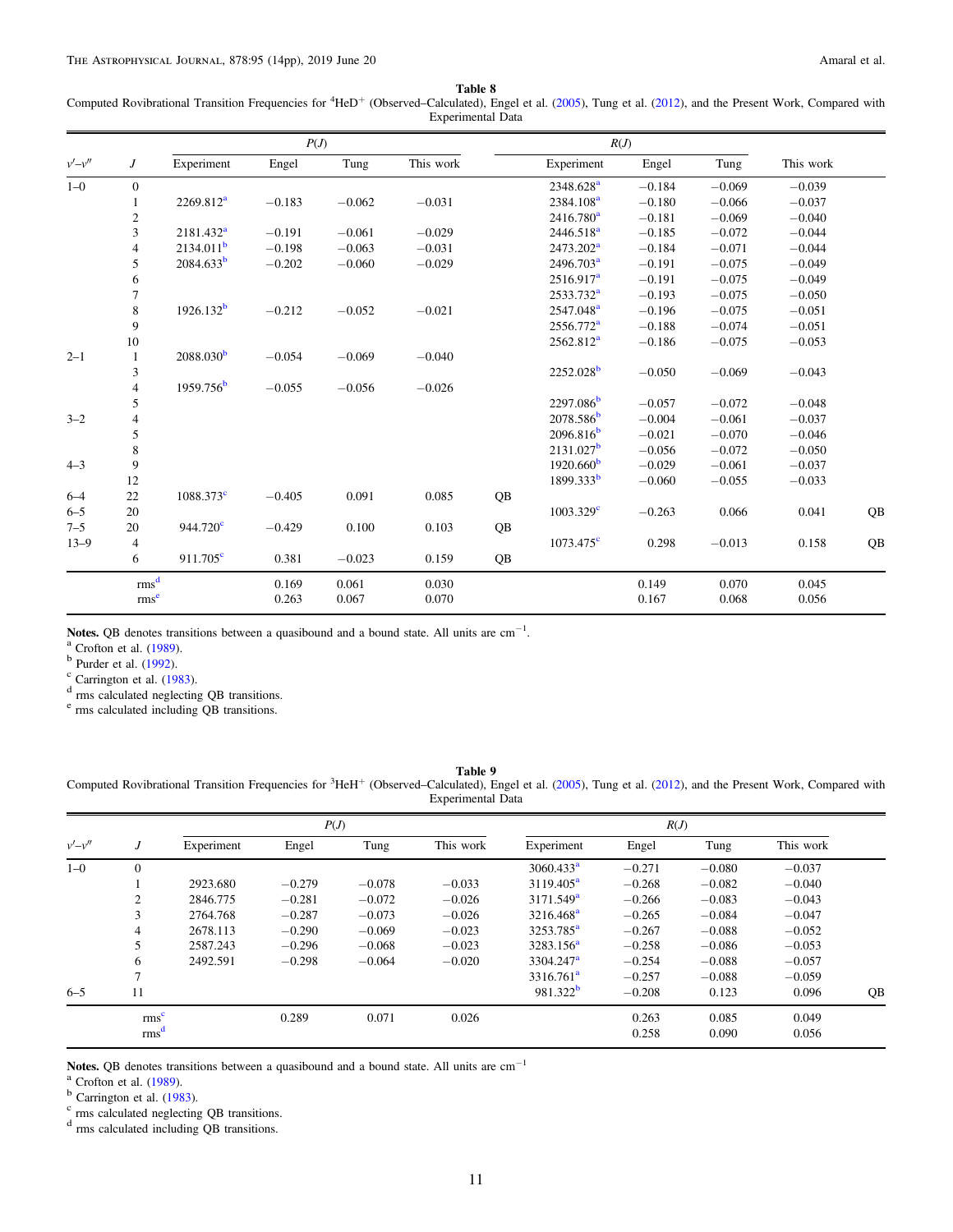Table 8

<span id="page-10-0"></span>Computed Rovibrational Transition Frequencies for <sup>4</sup>HeD<sup>+</sup> (Observed–Calculated), Engel et al. ([2005](#page-13-0)), Tung et al. ([2012](#page-13-0)), and the Present Work, Compared with Experimental Data

|          |                  |                         | P(J)     |          |           |    |                       | R(J)     |          |           |    |
|----------|------------------|-------------------------|----------|----------|-----------|----|-----------------------|----------|----------|-----------|----|
| $v'-v''$ | J                | Experiment              | Engel    | Tung     | This work |    | Experiment            | Engel    | Tung     | This work |    |
| $1 - 0$  | $\boldsymbol{0}$ |                         |          |          |           |    | 2348.628 <sup>a</sup> | $-0.184$ | $-0.069$ | $-0.039$  |    |
|          | 1                | 2269.812 <sup>a</sup>   | $-0.183$ | $-0.062$ | $-0.031$  |    | 2384.108 <sup>a</sup> | $-0.180$ | $-0.066$ | $-0.037$  |    |
|          | $\overline{c}$   |                         |          |          |           |    | $2416.780^{\rm a}$    | $-0.181$ | $-0.069$ | $-0.040$  |    |
|          | 3                | 2181.432 <sup>a</sup>   | $-0.191$ | $-0.061$ | $-0.029$  |    | 2446.518 <sup>a</sup> | $-0.185$ | $-0.072$ | $-0.044$  |    |
|          | 4                | 2134.011 <sup>b</sup>   | $-0.198$ | $-0.063$ | $-0.031$  |    | 2473.202 <sup>a</sup> | $-0.184$ | $-0.071$ | $-0.044$  |    |
|          | 5                | 2084.633 <sup>b</sup>   | $-0.202$ | $-0.060$ | $-0.029$  |    | 2496.703 <sup>a</sup> | $-0.191$ | $-0.075$ | $-0.049$  |    |
|          | 6                |                         |          |          |           |    | 2516.917 <sup>a</sup> | $-0.191$ | $-0.075$ | $-0.049$  |    |
|          | 7                |                         |          |          |           |    | 2533.732 <sup>a</sup> | $-0.193$ | $-0.075$ | $-0.050$  |    |
|          | 8                | $1926.132^{b}$          | $-0.212$ | $-0.052$ | $-0.021$  |    | 2547.048 <sup>a</sup> | $-0.196$ | $-0.075$ | $-0.051$  |    |
|          | 9                |                         |          |          |           |    | 2556.772 <sup>a</sup> | $-0.188$ | $-0.074$ | $-0.051$  |    |
|          | 10               |                         |          |          |           |    | 2562.812 <sup>a</sup> | $-0.186$ | $-0.075$ | $-0.053$  |    |
| $2 - 1$  | $\mathbf{1}$     | 2088.030 <sup>b</sup>   | $-0.054$ | $-0.069$ | $-0.040$  |    |                       |          |          |           |    |
|          | 3                |                         |          |          |           |    | $2252.028^b$          | $-0.050$ | $-0.069$ | $-0.043$  |    |
|          | $\overline{4}$   | 1959.756 <sup>b</sup>   | $-0.055$ | $-0.056$ | $-0.026$  |    |                       |          |          |           |    |
|          | 5                |                         |          |          |           |    | $2297.086^{b}$        | $-0.057$ | $-0.072$ | $-0.048$  |    |
| $3 - 2$  | 4                |                         |          |          |           |    | $2078.586^{b}$        | $-0.004$ | $-0.061$ | $-0.037$  |    |
|          | 5                |                         |          |          |           |    | 2096.816 <sup>b</sup> | $-0.021$ | $-0.070$ | $-0.046$  |    |
|          | 8                |                         |          |          |           |    | $2131.027^b$          | $-0.056$ | $-0.072$ | $-0.050$  |    |
| $4 - 3$  | 9                |                         |          |          |           |    | 1920.660 <sup>b</sup> | $-0.029$ | $-0.061$ | $-0.037$  |    |
|          | 12               |                         |          |          |           |    | 1899.333 <sup>b</sup> | $-0.060$ | $-0.055$ | $-0.033$  |    |
| $6 - 4$  | 22               | $1088.373$ <sup>c</sup> | $-0.405$ | 0.091    | 0.085     | QB |                       |          |          |           |    |
| $6 - 5$  | 20               |                         |          |          |           |    | $1003.329^{\circ}$    | $-0.263$ | 0.066    | 0.041     | QB |
| $7 - 5$  | 20               | $944.720^{\circ}$       | $-0.429$ | 0.100    | 0.103     | QB |                       |          |          |           |    |
| $13 - 9$ | 4                |                         |          |          |           |    | $1073.475^{\circ}$    | 0.298    | $-0.013$ | 0.158     | QB |
|          | 6                | $911.705^{\circ}$       | 0.381    | $-0.023$ | 0.159     | QB |                       |          |          |           |    |
|          | rms <sup>d</sup> |                         | 0.169    | 0.061    | 0.030     |    |                       | 0.149    | 0.070    | 0.045     |    |
|          | rms <sup>e</sup> |                         | 0.263    | 0.067    | 0.070     |    |                       | 0.167    | 0.068    | 0.056     |    |

**Notes.** QB denotes transitions between a quasibound and a bound state. All units are cm<sup>-1</sup>. <sup>a</sup> Crofton et al. (1989). **Notes.** QB denotes transitions between a quasibound and a bound state. All units are cm<sup>-1</sup>.<br>
<sup>a</sup> Crofton et al. ([1989](#page-12-0)).<br>
<sup>b</sup> Purder et al. ([1992](#page-13-0)).<br>
<sup>c</sup> Carrington et al. ([1983](#page-12-0)).<br>
<sup>d</sup> rms calculated neglecting QB transit

<sup>e</sup> rms calculated including QB transitions.

## Table 9

Computed Rovibrational Transition Frequencies for <sup>3</sup>HeH<sup>+</sup> (Observed–Calculated), Engel et al. ([2005](#page-13-0)), Tung et al. ([2012](#page-13-0)), and the Present Work, Compared with Experimental Data

|          |                  |            | P(J)     |          |           |                       | R(J)     |          |           |    |
|----------|------------------|------------|----------|----------|-----------|-----------------------|----------|----------|-----------|----|
| $v'-v''$ | J                | Experiment | Engel    | Tung     | This work | Experiment            | Engel    | Tung     | This work |    |
| $1 - 0$  | $\overline{0}$   |            |          |          |           | 3060.433 <sup>a</sup> | $-0.271$ | $-0.080$ | $-0.037$  |    |
|          |                  | 2923.680   | $-0.279$ | $-0.078$ | $-0.033$  | $3119.405^{\rm a}$    | $-0.268$ | $-0.082$ | $-0.040$  |    |
|          | 2                | 2846.775   | $-0.281$ | $-0.072$ | $-0.026$  | 3171.549 <sup>a</sup> | $-0.266$ | $-0.083$ | $-0.043$  |    |
|          | 3                | 2764.768   | $-0.287$ | $-0.073$ | $-0.026$  | $3216.468^{\rm a}$    | $-0.265$ | $-0.084$ | $-0.047$  |    |
|          | $\overline{4}$   | 2678.113   | $-0.290$ | $-0.069$ | $-0.023$  | 3253.785 <sup>a</sup> | $-0.267$ | $-0.088$ | $-0.052$  |    |
|          | 5                | 2587.243   | $-0.296$ | $-0.068$ | $-0.023$  | $3283.156^a$          | $-0.258$ | $-0.086$ | $-0.053$  |    |
|          | 6                | 2492.591   | $-0.298$ | $-0.064$ | $-0.020$  | 3304.247 <sup>a</sup> | $-0.254$ | $-0.088$ | $-0.057$  |    |
|          | $\overline{ }$   |            |          |          |           | $3316.761^a$          | $-0.257$ | $-0.088$ | $-0.059$  |    |
| $6 - 5$  | 11               |            |          |          |           | 981.322 <sup>b</sup>  | $-0.208$ | 0.123    | 0.096     | QB |
|          | rms <sup>c</sup> |            | 0.289    | 0.071    | 0.026     |                       | 0.263    | 0.085    | 0.049     |    |
|          | rms <sup>d</sup> |            |          |          |           |                       | 0.258    | 0.090    | 0.056     |    |

Notes. QB denotes transitions between a quasibound and a bound state. All units are cm<sup>-1</sup> <sup>a</sup> Crofton et al. (1989).

<sup>a</sup> Crofton et al. ([1989](#page-12-0)).<br><sup>b</sup> Carrington et al. ([1983](#page-12-0)). c rms calculated neglecting QB transitions.

<sup>d</sup> rms calculated including QB transitions.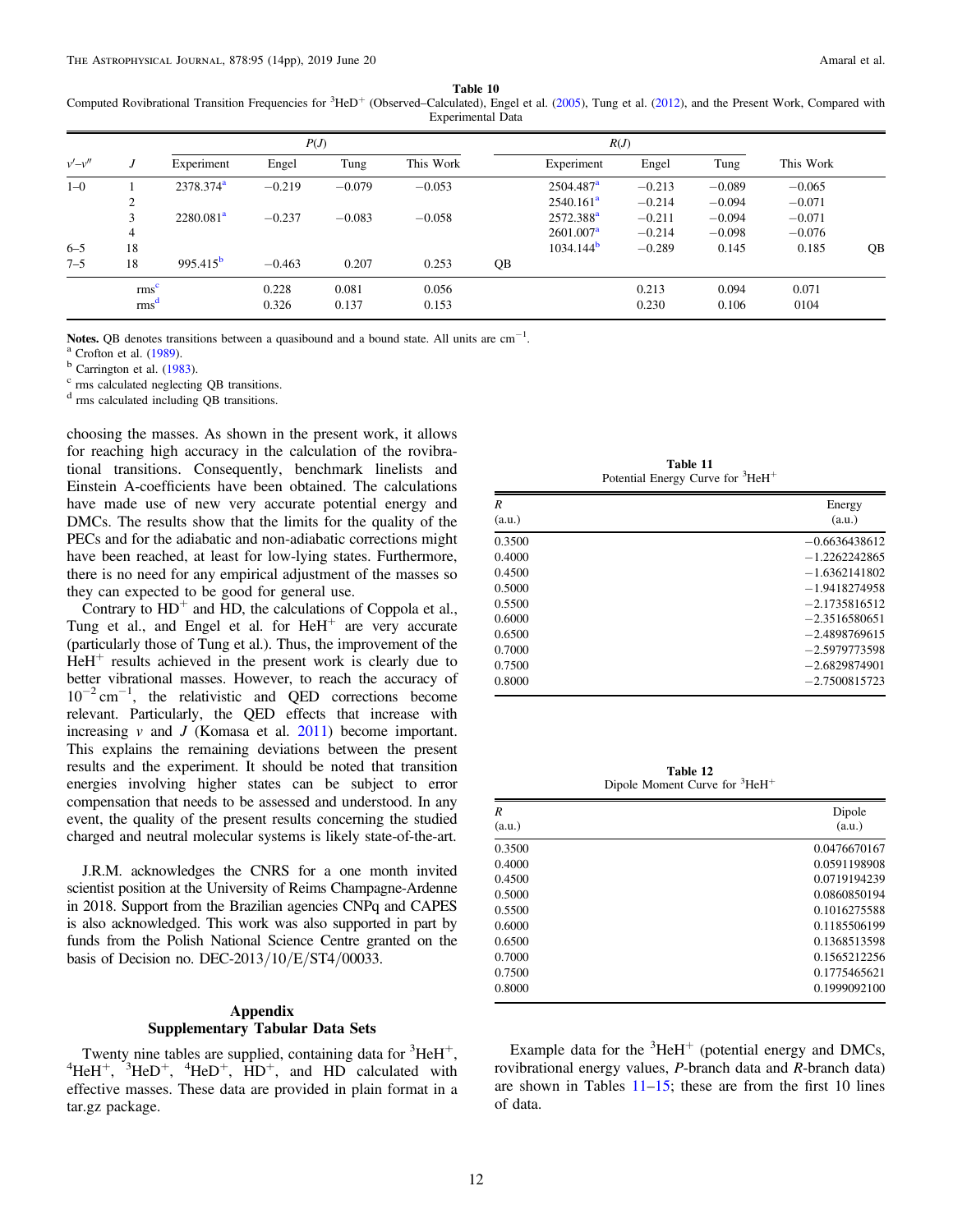Table 10

<span id="page-11-0"></span>Computed Rovibrational Transition Frequencies for <sup>3</sup>HeD<sup>+</sup> (Observed–Calculated), Engel et al. ([2005](#page-13-0)), Tung et al. ([2012](#page-13-0)), and the Present Work, Compared with Experimental Data

|          |                  |                      | P(J)     |          |           |    |                       | R(J)     |          |           |    |
|----------|------------------|----------------------|----------|----------|-----------|----|-----------------------|----------|----------|-----------|----|
| $v'-v''$ |                  | Experiment           | Engel    | Tung     | This Work |    | Experiment            | Engel    | Tung     | This Work |    |
| $1 - 0$  |                  | $2378.374^{\rm a}$   | $-0.219$ | $-0.079$ | $-0.053$  |    | $2504.487^{\rm a}$    | $-0.213$ | $-0.089$ | $-0.065$  |    |
|          | $\sim$<br>∠      |                      |          |          |           |    | $2540.161^a$          | $-0.214$ | $-0.094$ | $-0.071$  |    |
|          | 3                | $2280.081^a$         | $-0.237$ | $-0.083$ | $-0.058$  |    | 2572.388 <sup>a</sup> | $-0.211$ | $-0.094$ | $-0.071$  |    |
|          | 4                |                      |          |          |           |    | 2601.007 <sup>a</sup> | $-0.214$ | $-0.098$ | $-0.076$  |    |
| $6 - 5$  | 18               |                      |          |          |           |    | 1034.144 <sup>b</sup> | $-0.289$ | 0.145    | 0.185     | QB |
| $7 - 5$  | 18               | 995.415 <sup>b</sup> | $-0.463$ | 0.207    | 0.253     | QB |                       |          |          |           |    |
|          | rms <sup>c</sup> |                      | 0.228    | 0.081    | 0.056     |    |                       | 0.213    | 0.094    | 0.071     |    |
|          | rms <sup>d</sup> |                      | 0.326    | 0.137    | 0.153     |    |                       | 0.230    | 0.106    | 0104      |    |

Notes. QB denotes transitions between a quasibound and a bound state. All units are cm<sup>-1</sup>.<br><sup>a</sup> Crofton et al. ([1989](#page-12-0)).<br><sup>b</sup> Carrington et al. ([1983](#page-12-0)).<br><sup>c</sup> rms calculated neglecting QB transitions.

 $\degree$  rms calculated neglecting QB transitions.<br> $\degree$  rms calculated including QB transitions.

choosing the masses. As shown in the present work, it allows for reaching high accuracy in the calculation of the rovibrational transitions. Consequently, benchmark linelists and Einstein A-coefficients have been obtained. The calculations have made use of new very accurate potential energy and DMCs. The results show that the limits for the quality of the PECs and for the adiabatic and non-adiabatic corrections might have been reached, at least for low-lying states. Furthermore, there is no need for any empirical adjustment of the masses so they can expected to be good for general use.

Contrary to  $HD^+$  and HD, the calculations of Coppola et al., Tung et al., and Engel et al. for  $HeH<sup>+</sup>$  are very accurate (particularly those of Tung et al.). Thus, the improvement of the  $HeH<sup>+</sup>$  results achieved in the present work is clearly due to better vibrational masses. However, to reach the accuracy of 10−<sup>2</sup> cm−<sup>1</sup> , the relativistic and QED corrections become relevant. Particularly, the QED effects that increase with increasing  $\nu$  and J (Komasa et al. [2011](#page-13-0)) become important. This explains the remaining deviations between the present results and the experiment. It should be noted that transition energies involving higher states can be subject to error compensation that needs to be assessed and understood. In any event, the quality of the present results concerning the studied charged and neutral molecular systems is likely state-of-the-art.

J.R.M. acknowledges the CNRS for a one month invited scientist position at the University of Reims Champagne-Ardenne in 2018. Support from the Brazilian agencies CNPq and CAPES is also acknowledged. This work was also supported in part by funds from the Polish National Science Centre granted on the basis of Decision no. DEC-2013/10/E/ST4/00033.

# Appendix Supplementary Tabular Data Sets

Twenty nine tables are supplied, containing data for  ${}^{3}\text{HeH}^{+}$ ,<br> ${}^{4}\text{HeH}^{+}$ ,  ${}^{3}\text{HeH}^{+}$ ,  ${}^{4}\text{HeH}^{+}$ ,  ${}^{4}\text{HeH}^{+}$ , and HD, calculated, with HeH<sup>+</sup>, <sup>3</sup>HeD<sup>+</sup>, <sup>4</sup>HeD<sup>+</sup>, HD<sup>+</sup>, and HD calculated with effective masses. These data are provided in plain format in a tar.gz package.

Table 11 Potential Energy Curve for <sup>3</sup>HeH<sup>+</sup>

| R<br>(a.u.) | Energy<br>(a.u.) |
|-------------|------------------|
| 0.3500      | $-0.6636438612$  |
| 0.4000      | $-1.2262242865$  |
| 0.4500      | $-1.6362141802$  |
| 0.5000      | $-1.9418274958$  |
| 0.5500      | $-2.1735816512$  |
| 0.6000      | $-2.3516580651$  |
| 0.6500      | $-2.4898769615$  |
| 0.7000      | $-2.5979773598$  |
| 0.7500      | $-2.6829874901$  |
| 0.8000      | $-2.7500815723$  |

Table 12 Dipole Moment Curve for <sup>3</sup>HeH<sup>+</sup>

| R<br>(a.u.) | Dipole<br>(a.u.) |
|-------------|------------------|
| 0.3500      | 0.0476670167     |
| 0.4000      | 0.0591198908     |
| 0.4500      | 0.0719194239     |
| 0.5000      | 0.0860850194     |
| 0.5500      | 0.1016275588     |
| 0.6000      | 0.1185506199     |
| 0.6500      | 0.1368513598     |
| 0.7000      | 0.1565212256     |
| 0.7500      | 0.1775465621     |
| 0.8000      | 0.1999092100     |

Example data for the  ${}^{3}$ HeH<sup>+</sup> (potential energy and DMCs, rovibrational energy values, P-branch data and R-branch data) are shown in Tables  $11-15$ ; these are from the first 10 lines of data.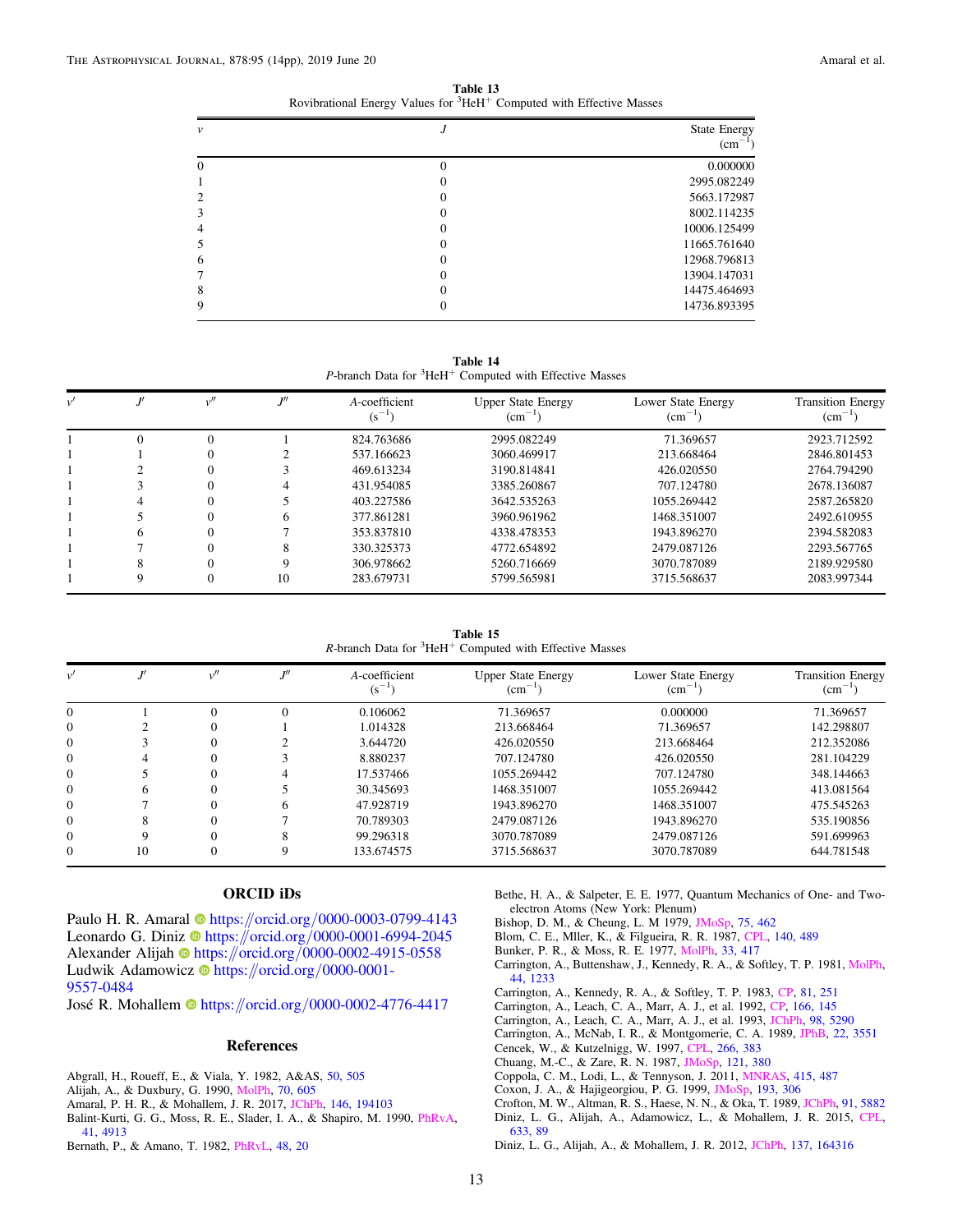Table 13 Rovibrational Energy Values for  ${}^{3}$ HeH<sup>+</sup> Computed with Effective Masses

<span id="page-12-0"></span>

| $\boldsymbol{\nu}$ | <b>State Energy</b><br>$\rm (cm^{-1})$ |
|--------------------|----------------------------------------|
| $\Omega$           | 0.000000                               |
|                    | 2995.082249                            |
| $\mathcal{L}$      | 5663.172987                            |
| 3                  | 8002.114235                            |
| 4                  | 10006.125499                           |
| $\mathcal{D}$      | 11665.761640                           |
| 6                  | 12968.796813                           |
|                    | 13904.147031                           |
| 8                  | 14475.464693                           |
| 9                  | 14736.893395                           |

Table 14 P-branch Data for  ${}^{3}$ HeH<sup>+</sup> Computed with Effective Masses

| $\nu'$ |              | ווז | A-coefficient<br>$(s^{-1})$ | <b>Upper State Energy</b><br>$\text{cm}^{-1}$ | Lower State Energy<br>$\rm (cm^{-1})$ | <b>Transition Energy</b><br>$\text{cm}^{-1}$ |
|--------|--------------|-----|-----------------------------|-----------------------------------------------|---------------------------------------|----------------------------------------------|
|        |              |     | 824.763686                  | 2995.082249                                   | 71.369657                             | 2923.712592                                  |
|        |              |     | 537.166623                  | 3060.469917                                   | 213.668464                            | 2846.801453                                  |
|        |              |     | 469.613234                  | 3190.814841                                   | 426.020550                            | 2764.794290                                  |
|        |              |     | 431.954085                  | 3385.260867                                   | 707.124780                            | 2678.136087                                  |
|        |              |     | 403.227586                  | 3642.535263                                   | 1055.269442                           | 2587.265820                                  |
|        |              | h.  | 377.861281                  | 3960.961962                                   | 1468.351007                           | 2492.610955                                  |
|        | <sub>(</sub> |     | 353.837810                  | 4338.478353                                   | 1943.896270                           | 2394.582083                                  |
|        |              |     | 330.325373                  | 4772.654892                                   | 2479.087126                           | 2293.567765                                  |
|        |              | 9   | 306.978662                  | 5260.716669                                   | 3070.787089                           | 2189.929580                                  |
|        | 9            | 10  | 283.679731                  | 5799.565981                                   | 3715.568637                           | 2083.997344                                  |

Table 15  $R$ -branch Data for  ${}^{3}$ HeH<sup>+</sup> Computed with Effective Masses

| v'           |    |    | A-coefficient<br>$(s^{-1})$ | <b>Upper State Energy</b><br>$\rm (cm^{-1})$ | Lower State Energy<br>$\rm (cm^{-1})$ | <b>Transition Energy</b><br>$(cm^{-1})$ |
|--------------|----|----|-----------------------------|----------------------------------------------|---------------------------------------|-----------------------------------------|
|              |    |    | 0.106062                    | 71.369657                                    | 0.000000                              | 71.369657                               |
| $\Omega$     |    |    | 1.014328                    | 213.668464                                   | 71.369657                             | 142.298807                              |
| $\Omega$     |    |    | 3.644720                    | 426.020550                                   | 213.668464                            | 212.352086                              |
| $\mathbf{0}$ |    |    | 8.880237                    | 707.124780                                   | 426.020550                            | 281.104229                              |
| $\Omega$     |    |    | 17.537466                   | 1055.269442                                  | 707.124780                            | 348.144663                              |
| $\Omega$     |    |    | 30.345693                   | 1468.351007                                  | 1055.269442                           | 413.081564                              |
| $\Omega$     |    | h. | 47.928719                   | 1943.896270                                  | 1468.351007                           | 475.545263                              |
| $\mathbf{0}$ |    |    | 70.789303                   | 2479.087126                                  | 1943.896270                           | 535.190856                              |
| $\Omega$     |    | 8  | 99.296318                   | 3070.787089                                  | 2479.087126                           | 591.699963                              |
| $\Omega$     | 10 |    | 133.674575                  | 3715.568637                                  | 3070.787089                           | 644.781548                              |

# ORCID iDs

Pau[l](https://orcid.org/0000-0003-0799-4143)o H. R. Amaral C[https:](https://orcid.org/0000-0003-0799-4143)//orcid.org/[0000-0003-0799-4143](https://orcid.org/0000-0003-0799-4143) Leonardo G. Diniz @ [https:](https://orcid.org/0000-0001-6994-2045)//orcid.org/[0000-0001-6994-2045](https://orcid.org/0000-0001-6994-2045) Alexander Alijah [https:](https://orcid.org/0000-0002-4915-0558)//orcid.org/[0000-0002-4915-0558](https://orcid.org/0000-0002-4915-0558) Ludwik Adamowicz **[https:](https://orcid.org/0000-0001-9557-0484)//orcid.org/[0000-0001-](https://orcid.org/0000-0001-9557-0484)** [9557-0484](https://orcid.org/0000-0001-9557-0484)

José R. Mohalle[m](https://orcid.org/0000-0002-4776-4417) inttps://orcid.org/[0000-0002-4776-4417](https://orcid.org/0000-0002-4776-4417)

#### References

Abgrall, H., Roueff, E., & Viala, Y. 1982, A&AS, [50, 505](http://adsabs.harvard.edu/abs/1982A&AS...50..505A)

- Alijah, A., & Duxbury, G. 1990, [MolPh,](https://doi.org/10.1080/00268979000102621) [70, 605](http://adsabs.harvard.edu/abs/1990MolPh..70..605A)
- Amaral, P. H. R., & Mohallem, J. R. 2017, [JChPh](https://doi.org/10.1063/1.4983394), [146, 194103](http://adsabs.harvard.edu/abs/2017JChPh.146s4103A)
- Balint-Kurti, G. G., Moss, R. E., Slader, I. A., & Shapiro, M. 1990, [PhRvA](https://doi.org/10.1103/PhysRevA.41.4913)[,](http://adsabs.harvard.edu/abs/1990PhRvA..41.4913B) [41, 4913](http://adsabs.harvard.edu/abs/1990PhRvA..41.4913B)
- Bernath, P., & Amano, T. 1982, [PhRvL,](https://doi.org/10.1103/PhysRevLett.48.20) [48, 20](http://adsabs.harvard.edu/abs/1982PhRvL..48...20B)

Bethe, H. A., & Salpeter, E. E. 1977, Quantum Mechanics of One- and Twoelectron Atoms (New York: Plenum)

- Bishop, D. M., & Cheung, L. M 1979, [JMoSp,](https://doi.org/10.1016/0022-2852(79)90090-0) [75, 462](http://adsabs.harvard.edu/abs/1979JMoSp..75..462B)
- Blom, C. E., Mller, K., & Filgueira, R. R. 1987, [CPL,](https://doi.org/10.1016/0009-2614(87)80474-8) [140, 489](http://adsabs.harvard.edu/abs/1987CPL...140..489B)

Bunker, P. R., & Moss, R. E. 1977, [MolPh](https://doi.org/10.1080/00268977700100351), [33, 417](http://adsabs.harvard.edu/abs/1977MolPh..33..417B)

- Carrington, A., Buttenshaw, J., Kennedy, R. A., & Softley, T. P. 1981, [MolPh](https://doi.org/10.1080/00268978100103151)[,](http://adsabs.harvard.edu/abs/1981MolPh..44.1233C) [44, 1233](http://adsabs.harvard.edu/abs/1981MolPh..44.1233C)
- Carrington, A., Kennedy, R. A., & Softley, T. P. 1983, [CP,](https://doi.org/10.1016/0301-0104(83)85319-1) [81, 251](http://adsabs.harvard.edu/abs/1983CP.....81..251C)

Carrington, A., Leach, C. A., Marr, A. J., et al. 1992, [CP,](https://doi.org/10.1016/0301-0104(92)87015-2) [166, 145](http://adsabs.harvard.edu/abs/1992CP....166..145C)

Carrington, A., Leach, C. A., Marr, A. J., et al. 1993, [JChPh,](https://doi.org/10.1063/1.464928) [98, 5290](http://adsabs.harvard.edu/abs/1993JChPh..98.5290C)

Carrington, A., McNab, I. R., & Montgomerie, C. A. 1989, [JPhB,](https://doi.org/10.1088/0953-4075/22/22/006) [22, 3551](http://adsabs.harvard.edu/abs/1989JPhB...22.3551C)

- Cencek, W., & Kutzelnigg, W. 1997, [CPL](https://doi.org/10.1016/S0009-2614(97)00017-1), [266, 383](http://adsabs.harvard.edu/abs/1997CPL...266..383C)
- Chuang, M.-C., & Zare, R. N. 1987, [JMoSp](https://doi.org/10.1016/0022-2852(87)90057-9), [121, 380](http://adsabs.harvard.edu/abs/1987JMoSp.121..380C)
- Coppola, C. M., Lodi, L., & Tennyson, J. 2011, [MNRAS](https://doi.org/10.1111/j.1365-2966.2011.18723.x), [415, 487](http://adsabs.harvard.edu/abs/2011MNRAS.415..487C)
- Coxon, J. A., & Hajigeorgiou, P. G. 1999, [JMoSp,](https://doi.org/10.1006/jmsp.1998.7740) [193, 306](http://adsabs.harvard.edu/abs/1999JMoSp.193..306C)
- Crofton, M. W., Altman, R. S., Haese, N. N., & Oka, T. 1989, [JChPh](https://doi.org/10.1063/1.457456), [91, 5882](http://adsabs.harvard.edu/abs/1989JChPh..91.5882C)
- Diniz, L. G., Alijah, A., Adamowicz, L., & Mohallem, J. R. 2015, [CPL](https://doi.org/10.1016/j.cplett.2015.04.062)[,](http://adsabs.harvard.edu/abs/2015CPL...633...89D) [633, 89](http://adsabs.harvard.edu/abs/2015CPL...633...89D)
- Diniz, L. G., Alijah, A., & Mohallem, J. R. 2012, [JChPh,](https://doi.org/10.1063/1.4762442) [137, 164316](http://adsabs.harvard.edu/abs/2012JChPh.137p4316D)